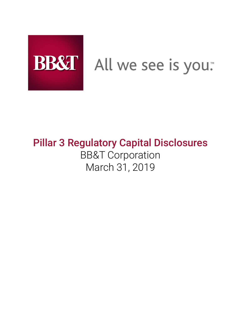

# BB&T All we see is you.

# **Pillar 3 Regulatory Capital Disclosures** BB&T Corporation March 31, 2019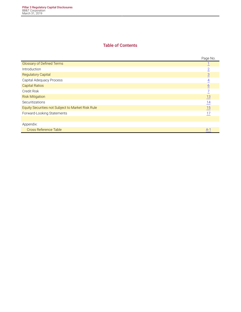# **Table of Contents**

|                                                   | Page No.        |
|---------------------------------------------------|-----------------|
| <b>Glossary of Defined Terms</b>                  |                 |
| Introduction                                      | $\overline{2}$  |
| <b>Regulatory Capital</b>                         | $\overline{3}$  |
| Capital Adequacy Process                          | 4               |
| <b>Capital Ratios</b>                             | $\underline{6}$ |
| Credit Risk                                       | 7               |
| <b>Risk Mitigation</b>                            | 13              |
| Securitizations                                   | $\frac{14}{1}$  |
| Equity Securities not Subject to Market Risk Rule | 15              |
| Forward-Looking Statements                        | 17              |
|                                                   |                 |
| Appendix:                                         |                 |
| <b>Cross Reference Table</b>                      | $A-1$           |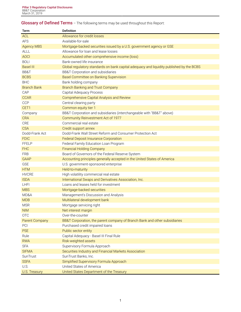# <span id="page-2-0"></span>**Glossary of Defined Terms** – The following terms may be used throughout this Report:

| Term                      | <b>Definition</b>                                                                        |
|---------------------------|------------------------------------------------------------------------------------------|
| <b>ACL</b>                | Allowance for credit losses                                                              |
| <b>AFS</b>                | Available-for-sale                                                                       |
| <b>Agency MBS</b>         | Mortgage-backed securities issued by a U.S. government agency or GSE                     |
| <b>ALLL</b>               | Allowance for loan and lease losses                                                      |
| <b>AOCI</b>               | Accumulated other comprehensive income (loss)                                            |
| <b>BOLI</b>               | Bank-owned life insurance                                                                |
| <b>Basel III</b>          | Global regulatory standards on bank capital adequacy and liquidity published by the BCBS |
| BB&T                      | BB&T Corporation and subsidiaries                                                        |
| <b>BCBS</b>               | <b>Basel Committee on Banking Supervision</b>                                            |
| <b>BHC</b>                | Bank holding company                                                                     |
| <b>Branch Bank</b>        | <b>Branch Banking and Trust Company</b>                                                  |
| CAP                       | Capital Adequacy Process                                                                 |
| <b>CCAR</b>               | Comprehensive Capital Analysis and Review                                                |
| <b>CCP</b>                | Central clearing party                                                                   |
| CET1                      | Common equity tier 1                                                                     |
| Company                   | BB&T Corporation and subsidiaries (interchangeable with "BB&T" above)                    |
| <b>CRA</b>                | Community Reinvestment Act of 1977                                                       |
| CRE                       | Commercial real estate                                                                   |
| <b>CSA</b>                | Credit support annex                                                                     |
| Dodd-Frank Act            | Dodd-Frank Wall Street Reform and Consumer Protection Act                                |
| <b>FDIC</b>               | <b>Federal Deposit Insurance Corporation</b>                                             |
| <b>FFELP</b>              | Federal Family Education Loan Program                                                    |
| <b>FHC</b>                | <b>Financial Holding Company</b>                                                         |
|                           |                                                                                          |
| <b>FRB</b><br><b>GAAP</b> | Board of Governors of the Federal Reserve System                                         |
|                           | Accounting principles generally accepted in the United States of America                 |
| <b>GSE</b><br><b>HTM</b>  | U.S. government-sponsored enterprise                                                     |
| <b>HVCRE</b>              | Held-to-maturity                                                                         |
|                           | High volatility commercial real estate                                                   |
| <b>ISDA</b>               | International Swaps and Derivatives Association, Inc.                                    |
| <b>LHFI</b>               | Loans and leases held for investment                                                     |
| <b>MBS</b>                | Mortgage-backed securities                                                               |
| MD&A                      | Management's Discussion and Analysis                                                     |
| <b>MDB</b>                | Multilateral development bank                                                            |
| <b>MSR</b>                | Mortgage servicing right                                                                 |
| <b>NIM</b>                | Net interest margin                                                                      |
| <b>OTC</b>                | Over-the-counter                                                                         |
| <b>Parent Company</b>     | BB&T Corporation, the parent company of Branch Bank and other subsidiaries               |
| PCI                       | Purchased credit impaired loans                                                          |
| <b>PSE</b>                | Public sector entity                                                                     |
| Rule                      | Capital Adequacy - Basel III Final Rule                                                  |
| <b>RWA</b>                | Risk-weighted assets                                                                     |
| <b>SFA</b>                | Supervisory Formula Approach                                                             |
| <b>SIFMA</b>              | Securities Industry and Financial Markets Association                                    |
| SunTrust                  | SunTrust Banks, Inc.                                                                     |
| <b>SSFA</b>               | Simplified Supervisory Formula Approach                                                  |
| U.S.                      | United States of America                                                                 |
| U.S. Treasury             | United States Department of the Treasury                                                 |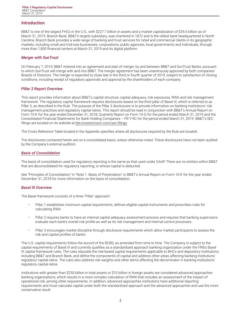# <span id="page-3-0"></span>**Introduction**

BB&T is one of the largest FHCs in the U.S., with \$227.7 billion in assets and a market capitalization of \$35.6 billion as of March 31, 2019. Branch Bank, BB&T's largest subsidiary, was chartered in 1872 and is the oldest bank headquartered in North Carolina. Branch Bank provides a wide range of banking and trust services for retail and commercial clients in its geographic markets, including small and mid-size businesses, corporations, public agencies, local governments and individuals, through more than 1,800 financial centers at March 31, 2019 and its digital platform.

#### *Merger with SunTrust*

On February 7, 2019, BB&T entered into an agreement and plan of merger, by and between BB&T and SunTrust Banks, pursuant to which SunTrust will merge with and into BB&T. The merger agreement has been unanimously approved by both companies' Boards of Directors. The merger is expected to close late in the third or fourth quarter of 2019, subject to satisfaction of closing conditions, including receipt of regulatory approvals and approval by the shareholders of each company.

#### *Pillar 3 Report Overview*

This report provides information about BB&T's capital structure, capital adequacy, risk exposures, RWA and risk management framework. The regulatory capital framework requires disclosures based on the third pillar of Basel III, which is referred to as Pillar 3, as described in the Rule. The purpose of the Pillar 3 disclosures is to provide information on banking institutions' risk management practices and regulatory capital ratios. This report should be read in conjunction with BB&T's Annual Report on Form 10-K for the year ended December 31, 2018, Quarterly Report on Form 10-Q for the period ended March 31, 2019 and the Consolidated Financial Statements for Bank Holding Companies – FR Y-9C for the period ended March 31, 2019. BB&T's SEC filings are located on its website at [bbt.investorroom.com/sec-filings](http://bbt.investorroom.com/sec-filings)**.**

The Cross Reference Table located in the Appendix specifies where all disclosures required by the Rule are located.

The disclosures contained herein are on a consolidated basis, unless otherwise noted. These disclosures have not been audited by the Company's external auditors.

#### *Basis of Consolidation*

The basis of consolidation used for regulatory reporting is the same as that used under GAAP. There are no entities within BB&T that are deconsolidated for regulatory reporting, or whose capital is deducted.

See "Principles of Consolidation" in "Note 1. Basis of Presentation" in BB&T's Annual Report on Form 10-K for the year ended December 31, 2018 for more information on the basis of consolidation.

#### *Basel III Overview*

The Basel framework consists of a three "Pillar" approach:

- Pillar 1 establishes minimum capital requirements, defines eligible capital instruments and prescribes rules for calculating RWA.
- Pillar 2 requires banks to have an internal capital adequacy assessment process and requires that banking supervisors evaluate each bank's overall risk profile as well as its risk management and internal control processes.
- Pillar 3 encourages market discipline through disclosure requirements which allow market participants to assess the risk and capital profiles of banks.

The U.S. capital requirements follow the accord of the BCBS, as amended from time to time. The Company is subject to the capital requirements of Basel III and currently qualifies as a standardized approach banking organization under the FRB's Basel III capital framework rules. The rules stipulate the risk-based capital requirements applicable to BHCs and depository institutions, including BB&T and Branch Bank, and define the components of capital and address other areas affecting banking institutions' regulatory capital ratios. The rules also address risk weights and other items affecting the denominator in banking institutions' regulatory capital ratios.

Institutions with greater than \$250 billion in total assets or \$10 billion in foreign assets are considered advanced approaches banking organizations, which results in a more complex calculation of RWA that includes an assessment of the impact of operational risk, among other requirements. In addition, advanced approaches institutions have additional reporting requirements and must calculate capital under both the standardized approach and the advanced approaches and use the more conservative result.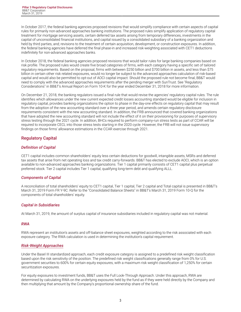<span id="page-4-0"></span>In October 2017, the federal banking agencies proposed revisions that would simplify compliance with certain aspects of capital rules for primarily non-advanced approaches banking institutions. The proposed rules simplify application of regulatory capital treatment for mortgage servicing assets, certain deferred tax assets arising from temporary differences, investments in the capital of unconsolidated financial institutions, and capital issued by a consolidated subsidiary of a banking organization and held by third parties, and; revisions to the treatment of certain acquisition, development, or construction exposures. In addition, the federal banking agencies have deferred the final phase-in and increased risk-weighting associated with CET1 deductions indefinitely for non-advanced approaches banks.

In October 2018, the federal banking agencies proposed revisions that would tailor rules for large banking companies based on risk profile. The proposed rules would create five broad categories of firms, with each category having a specific set of tailored regulatory requirements. Based on the proposal, firms with between \$250 billion and \$700 billion in assets, and less than \$75 billion in certain other risk related exposures, would no longer be subject to the advanced approaches calculation of risk-based capital and would also be permitted to opt-out of AOCI capital impact. Should the proposed rule not become final, BB&T would need to comply with the advanced approaches requirements after the pending merger with SunTrust. See "Regulatory Considerations" in BB&T's Annual Report on Form 10-K for the year ended December 31, 2018 for more information.

On December 21, 2018, the banking regulators issued a final rule that would revise the agencies' regulatory capital rules. The rule identifies which allowances under the new current expected credit losses accounting standard would be eligible for inclusion in regulatory capital, provides banking organizations the option to phase in the day-one effects on regulatory capital that may result from the adoption of the new accounting standard over a three year period, and amends certain regulatory disclosure requirements consistent with the new accounting standard. In addition, the FRB announced that covered banking organizations that have adopted the new accounting standard will not include the effect of it on their provisioning for purposes of supervisory stress testing through the 2021 cycle. In addition, BHCs required to perform company-run stress tests as part of CCAR will be required to incorporate CECL into those stress tests starting in the 2020 cycle. However, the FRB will not issue supervisory findings on those firms' allowance estimations in the CCAR exercise through 2021.

# **Regulatory Capital**

# *Definition of Capital*

CET1 capital includes common shareholders' equity less certain deductions for goodwill, intangible assets, MSRs and deferred tax assets that arise from net operating loss and tax credit carry-forwards. BB&T has elected to exclude AOCI, which is an option available to non-advanced approaches banking organizations. Tier 1 capital primarily consists of CET1 capital plus perpetual preferred stock. Tier 2 capital includes Tier 1 capital, qualifying long-term debt and qualifying ALLL.

#### *Components of Capital*

A reconciliation of total shareholders' equity to CET1 capital, Tier 1 capital, Tier 2 capital and Total capital is presented in BB&T's March 31, 2019 Form FR Y-9C. Refer to the "Consolidated Balance Sheets" in BB&T's March 31, 2019 Form 10-Q for the components of total shareholders' equity.

#### *Capital in Subsidiaries*

At March 31, 2019, the amount of surplus capital of insurance subsidiaries included in regulatory capital was not material.

#### *RWA*

RWA represent an institution's assets and off-balance sheet exposures, weighted according to the risk associated with each exposure category. The RWA calculation is used in determining the institution's capital requirement.

#### *Risk-Weight Approaches*

Under the Basel III standardized approach, each credit exposure category is assigned to a predefined risk weight classification based upon the risk sensitivity of the position. The predefined risk weight classifications generally range from 0% for U.S. government securities to 600% for certain equity exposures, with a maximum risk weight classification of 1,250% for certain securitization exposures.

For equity exposures to investment funds, BB&T uses the Full Look-Through Approach. Under this approach, RWA are determined by calculating RWA on the underlying exposures held by the fund as if they were held directly by the Company and then multiplying that amount by the Company's proportional ownership share of the fund.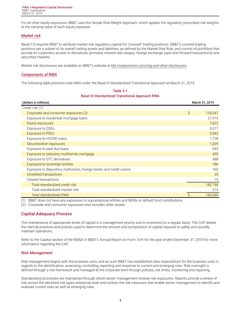<span id="page-5-0"></span>For all other equity exposures, BB&T uses the Simple Risk-Weight Approach, which applies the regulatory prescribed risk weights to the carrying value of each equity exposure.

# *Market risk*

Basel II.5 requires BB&T to attribute market risk regulatory capital for "covered" trading positions. BB&T's covered trading positions are a subset of its overall trading assets and liabilities, as defined by the Market Risk Rule, and consist of portfolios that provide its customers access to derivatives (primarily interest rate swaps), foreign exchange (spot and forward transactions) and securities markets.

Market risk disclosures are available on BB&T's website at [bbt.investorroom.com/reg-and-other-disclosures](https://bbt.investorroom.com/reg-and-other-disclosures).

#### *Components of RWA*

The following table presents total RWA under the Basel III Standardized Transitional Approach at March 31, 2019:

| Table 3-1                                               |
|---------------------------------------------------------|
| <b>Basel III Standardized Transitional Approach RWA</b> |

| (dollars in millions)                                                |    | March 31, 2019 |
|----------------------------------------------------------------------|----|----------------|
| Credit risk (1):                                                     |    |                |
| Corporate and consumer exposures (2)                                 | Ŝ  | 135,047        |
| Exposure to residential mortgage loans                               |    | 27,414         |
| Equity exposures                                                     |    | 7,622          |
| Exposure to GSEs                                                     |    | 5,317          |
| <b>Exposure to PSEs</b>                                              |    | 2,843          |
| Exposure to HVCRE loans                                              |    | 1,728          |
| Securitization exposures                                             |    | 1,009          |
| Exposure to past due loans                                           |    | 542            |
| Exposure to statutory multifamily mortgage                           |    | 450            |
| Exposure to OTC derivatives                                          |    | 388            |
| Exposure to sovereign entities                                       |    | 186            |
| Exposure to depository institutions, foreign banks and credit unions |    | 160            |
| Unsettled transactions                                               |    | 25             |
| Cleared transactions                                                 |    | 15             |
| Total standardized credit risk                                       |    | 182,746        |
| Total standardized market risk                                       |    | 314            |
| <b>Total standardized RWA</b>                                        | \$ | 183,060        |

(1) BB&T does not have any exposures to supranational entities and MDBs or default fund contributions.

(2) Corporate and consumer exposures also includes other assets.

# **Capital Adequacy Process**

The maintenance of appropriate levels of capital is a management priority and is monitored on a regular basis. The CAP details the internal practices and policies used to determine the amount and composition of capital required to safely and soundly maintain operations.

Refer to the Capital section of the MD&A in BB&T's Annual Report on Form 10-K for the year ended December 31, 2018 for more information regarding the CAP.

#### *Risk Management*

Risk management begins with the business units, and as such BB&T has established clear expectations for the business units in regards to the identification, assessing, controlling, reporting and response to current and emerging risks. Risk oversight is defined through a risk framework and managed at the corporate level through policies, risk limits, monitoring and reporting.

Standardized processes are maintained through which senior management reviews risk exposures. Reports provide a review of risk across the identified risk types enterprise-wide and contain the risk measures that enable senior management to identify and evaluate current risks as well as emerging risks.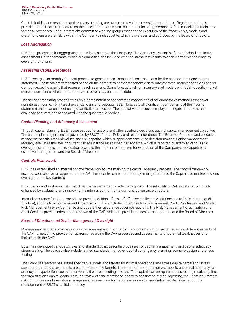Capital, liquidity and resolution and recovery planning are overseen by various oversight committees. Regular reporting is provided to the Board of Directors on the assessments of risk, stress test results and governance of the models and tools used for these processes. Various oversight committee working groups manage the execution of the frameworks, models and systems to ensure the risk is within the Company's risk appetite, which is overseen and approved by the Board of Directors.

#### *Loss Aggregation*

BB&T has processes for aggregating stress losses across the Company. The Company reports the factors behind qualitative assessments in the forecasts, which are quantified and included with the stress test results to enable effective challenge by oversight functions.

# *Assessing Capital Resources*

BB&T leverages its monthly forecast process to generate semi-annual stress projections for the balance sheet and income statement. Line items are forecasted based on the same sets of macroeconomic data, interest rates, market conditions and/or Company-specific events that represent each scenario. Some forecasts rely on industry-level models with BB&T-specific market share assumptions, when appropriate, while others rely on internal data.

The stress forecasting process relies on a combination of econometric models and other quantitative methods that cover noninterest income, noninterest expense, loans and deposits. BB&T forecasts all significant components of the income statement and balance sheet using quantitative processes. The qualitative processes employed mitigate limitations and challenge assumptions associated with the quantitative models.

# *Capital Planning and Adequacy Assessment*

Through capital planning, BB&T assesses capital actions and other strategic decisions against capital management objectives. The capital planning process is governed by BB&T's Capital Policy and related standards. The Board of Directors and executive management articulate risk values and risk appetite, which support company-wide decision-making. Senior management regularly evaluates the level of current risk against the established risk appetite, which is reported quarterly to various risk oversight committees. This evaluation provides the information required for evaluation of the Company's risk appetite by executive management and the Board of Directors.

# *Controls Framework*

BB&T has established an internal control framework for maintaining the capital adequacy process. The control framework includes controls over all aspects of the CAP. These controls are monitored by management and the Capital Committee provides oversight of the key controls.

BB&T tracks and evaluates the control performance for capital adequacy groups. The reliability of CAP results is continually enhanced by evaluating and improving the internal control framework and governance structure.

Internal assurance functions are able to provide additional forms of effective challenge. Audit Services (BB&T's internal audit function), and the Risk Management Organization (which includes Enterprise Risk Management, Credit Risk Review and Model Risk Management review), enhance and update their assurance coverage regularly. The Risk Management Organization and Audit Services provide independent reviews of the CAP, which are provided to senior management and the Board of Directors.

#### *Board of Directors and Senior Management Oversight*

Management regularly provides senior management and the Board of Directors with information regarding different aspects of the CAP framework to provide transparency regarding the CAP processes and assessments of potential weaknesses and limitations in the CAP.

BB&T has developed various policies and standards that describe processes for capital management, and capital adequacy stress testing. The policies also include related standards that cover capital contingency planning, scenario design and stress testing.

The Board of Directors has established capital goals and targets for normal operations and stress capital targets for stress scenarios, and stress test results are compared to the targets. The Board of Directors receives reports on capital adequacy for an array of hypothetical scenarios driven by the stress testing process. The capital plan compares stress testing results against the organization's capital goals. Through review of this information and with consistent internal reporting, the Board of Directors, risk committees and executive management receive the information necessary to make informed decisions about the management of BB&T's capital adequacy.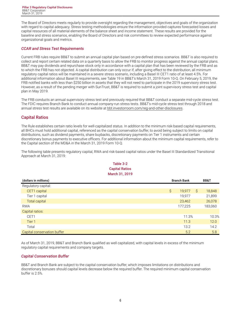<span id="page-7-0"></span>The Board of Directors meets regularly to provide oversight regarding the management, objectives and goals of the organization with regard to capital adequacy. Stress testing methodologies ensure the information provided captures forecasted losses and capital resources of all material elements of the balance sheet and income statement. These results are provided for the baseline and stress scenarios, enabling the Board of Directors and risk committees to review expected performance against organizational goals and metrics.

# *CCAR and Stress Test Requirements*

Current FRB rules require BB&T to submit an annual capital plan based on pre-defined stress scenarios. BB&T is also required to collect and report certain related data on a quarterly basis to allow the FRB to monitor progress against the annual capital plans. BB&T may pay dividends and repurchase stock only in accordance with a capital plan that has been reviewed by the FRB and as to which the FRB has not objected. A capital distribution can only occur if, after giving effect to the distribution, all minimum regulatory capital ratios will be maintained in a severe stress scenario, including a Basel III CET1 ratio of at least 4.5%. For additional information about Basel III requirements, see Table 19 in BB&T's March 31, 2019 Form 10-Q. On February 5, 2019, the FRB notified banks with less than \$250 billion in assets that they will not need to participate in the 2019 supervisory stress test. However, as a result of the pending merger with SunTrust, BB&T is required to submit a joint supervisory stress test and capital plan in May 2019.

The FRB conducts an annual supervisory stress test and previously required that BB&T conduct a separate mid-cycle stress test. The FDIC requires Branch Bank to conduct annual company-run stress tests. BB&T's mid-cycle stress test through 2018 and annual stress test results are available on its website at [bbt.investorroom.com/reg-and-other-disclosures.](https://bbt.investorroom.com/reg-and-other-disclosures)

# **Capital Ratios**

The Rule establishes certain ratio levels for well-capitalized status. In addition to the minimum risk-based capital requirements, all BHCs must hold additional capital, referenced as the capital conservation buffer, to avoid being subject to limits on capital distributions, such as dividend payments, share buybacks, discretionary payments on Tier 1 instruments and certain discretionary bonus payments to executive officers. For additional information about the minimum capital requirements, refer to the Capital section of the MD&A in the March 31, 2019 Form 10-Q.

The following table presents regulatory capital, RWA and risk-based capital ratios under the Basel III Standardized Transitional Approach at March 31, 2019:

# **Table 3-2 Capital Ratios March 31, 2019**

| (dollars in millions)       | <b>Branch Bank</b> |    | <b>BB&amp;T</b> |
|-----------------------------|--------------------|----|-----------------|
| Regulatory capital:         |                    |    |                 |
| CET1 capital                | \$<br>19,977       | S. | 18,848          |
| Tier 1 capital              | 19,977             |    | 21,899          |
| <b>Total capital</b>        | 23,462             |    | 26,078          |
| <b>RWA</b>                  | 177,225            |    | 183,060         |
| Capital ratios:             |                    |    |                 |
| CET1                        | 11.3%              |    | 10.3%           |
| Tier 1                      | 11.3               |    | 12.0            |
| Total                       | 13.2               |    | 14.2            |
| Capital conservation buffer | 5.2                |    | 5.8             |

As of March 31, 2019, BB&T and Branch Bank qualified as well capitalized, with capital levels in excess of the minimum regulatory capital requirements and company targets.

# *Capital Conservation Buffer*

BB&T and Branch Bank are subject to the capital conservation buffer, which imposes limitations on distributions and discretionary bonuses should capital levels decrease below the required buffer. The required minimum capital conservation buffer is 2.5%.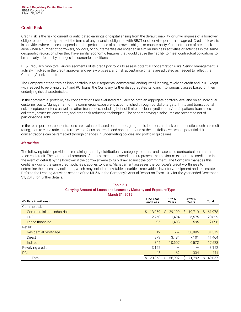# <span id="page-8-0"></span>**Credit Risk**

Credit risk is the risk to current or anticipated earnings or capital arising from the default, inability, or unwillingness of a borrower, obligor or counterparty to meet the terms of any financial obligation with BB&T or otherwise perform as agreed. Credit risk exists in activities where success depends on the performance of a borrower, obligor, or counterparty. Concentrations of credit risk arise when a number of borrowers, obligors, or counterparties are engaged in similar business activities or activities in the same geographic region, or when they have similar economic features that would cause their ability to meet contractual obligations to be similarly affected by changes in economic conditions.

BB&T regularly monitors various segments of its credit portfolios to assess potential concentration risks. Senior management is actively involved in the credit approval and review process, and risk acceptance criteria are adjusted as needed to reflect the Company's risk appetite.

The Company categorizes its loan portfolio in four segments: commercial lending, retail lending, revolving credit and PCI. Except with respect to revolving credit and PCI loans, the Company further disaggregates its loans into various classes based on their underlying risk characteristics.

In the commercial portfolio, risk concentrations are evaluated regularly on both an aggregate portfolio level and on an individual customer basis. Management of the commercial exposure is accomplished through portfolio targets, limits and transactional risk acceptance criteria as well as other techniques, including but not limited to, loan syndications/participations, loan sales, collateral, structure, covenants, and other risk-reduction techniques. The accompanying disclosures are presented net of participations sold.

In the retail portfolio, concentrations are evaluated based on purpose, geographic location, and risk characteristics such as credit rating, loan to value ratio, and term, with a focus on trends and concentrations at the portfolio level, where potential risk concentrations can be remedied through changes in underwriting policies and portfolio guidelines.

#### *Maturities*

The following tables provide the remaining maturity distribution by category for loans and leases and contractual commitments to extend credit. The contractual amounts of commitments to extend credit represent the maximum exposure to credit loss in the event of default by the borrower if the borrower were to fully draw against the commitment. The Company manages this credit risk using the same credit policies it applies to loans. Management assesses the borrower's credit worthiness to determine the necessary collateral, which may include marketable securities, receivables, inventory, equipment and real estate. Refer to the Lending Activities section of the MD&A in the Company's Annual Report on Form 10-K for the year ended December 31, 2018 for further details.

| Table 5-1                                                         |
|-------------------------------------------------------------------|
| Carrying Amount of Loans and Leases by Maturity and Exposure Type |
| March 31, 2019                                                    |

| (Dollars in millions)     | <b>One Year</b><br>and Less | 1 to 5<br>Years | After 5<br>Years | Total        |
|---------------------------|-----------------------------|-----------------|------------------|--------------|
| Commercial:               |                             |                 |                  |              |
| Commercial and industrial | Ŝ.<br>13,069                | Ŝ.<br>29,190    | 19,719<br>S.     | 61,978<br>S. |
| <b>CRE</b>                | 2.760                       | 11.494          | 6,575            | 20,829       |
| Lease financing           | 95                          | 1,408           | 595              | 2,098        |
| Retail:                   |                             |                 |                  |              |
| Residential mortgage      | 19                          | 657             | 30.896           | 31,572       |
| Direct                    | 879                         | 3,484           | 7,101            | 11,464       |
| Indirect                  | 344                         | 10,607          | 6,572            | 17,523       |
| Revolving credit          | 3,152                       |                 | —                | 3,152        |
| <b>PCI</b>                | 45                          | 62              | 334              | 441          |
| Total                     | Ś.<br>20,363                | 56,902<br>S     | 71.792<br>S      | \$149,057    |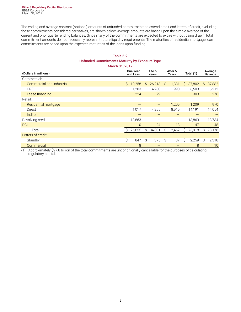The ending and average contract (notional) amounts of unfunded commitments to extend credit and letters of credit, excluding those commitments considered derivatives, are shown below. Average amounts are based upon the simple average of the current and prior quarter ending balances. Since many of the commitments are expected to expire without being drawn, total commitment amounts do not necessarily represent future liquidity requirements. The maturities of residential mortgage loan commitments are based upon the expected maturities of the loans upon funding.

# **Table 5-2 Unfunded Commitments Maturity by Exposure Type March 31, 2019**

| (Dollars in millions)     |    | <b>One Year</b><br>and Less |    | 1 to 5<br>Years |              | After 5<br>Years         | Total (1) |        |    | Average<br><b>Balance</b> |  |
|---------------------------|----|-----------------------------|----|-----------------|--------------|--------------------------|-----------|--------|----|---------------------------|--|
| Commercial:               |    |                             |    |                 |              |                          |           |        |    |                           |  |
| Commercial and industrial | \$ | 10,258                      | S. | 26,213          | $\mathsf{S}$ | 1,331                    | \$        | 37,802 | S. | 37,882                    |  |
| <b>CRE</b>                |    | 1,283                       |    | 4,230           |              | 990                      |           | 6,503  |    | 6,212                     |  |
| Lease financing           |    | 224                         |    | 79              |              | —                        |           | 303    |    | 276                       |  |
| Retail:                   |    |                             |    |                 |              |                          |           |        |    |                           |  |
| Residential mortgage      |    |                             |    |                 |              | 1,209                    |           | 1,209  |    | 970                       |  |
| Direct                    |    | 1,017                       |    | 4,255           |              | 8,919                    |           | 14,191 |    | 14,054                    |  |
| Indirect                  |    |                             |    |                 |              |                          |           |        |    |                           |  |
| Revolving credit          |    | 13,863                      |    |                 |              | $\overline{\phantom{m}}$ |           | 13,863 |    | 13,734                    |  |
| PCI                       |    | 10                          |    | 24              |              | 13                       |           | 47     |    | 48                        |  |
| Total                     | Ŝ  | 26,655                      | Ŝ. | 34,801          | \$           | 12,462                   | \$        | 73,918 | S  | 73,176                    |  |
| Letters of credit:        |    |                             |    |                 |              |                          |           |        |    |                           |  |
| Standby                   | \$ | 847                         | Ŝ. | 1,375           | Ŝ            | 37                       | Ŝ         | 2,259  | Ŝ. | 2,318                     |  |
| Commercial                |    | 8                           |    |                 |              |                          |           | 8      |    | 10                        |  |

(1) Approximately \$27.8 billion of the total commitments are unconditionally cancellable for the purposes of calculating regulatory capital.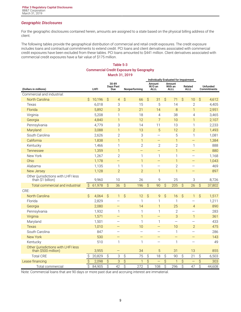# *Geographic Disclosures*

For the geographic disclosures contained herein, amounts are assigned to a state based on the physical billing address of the client.

The following tables provide the geographical distribution of commercial and retail credit exposures. The credit exposure includes loans and contractual commitments to extend credit. PCI loans and client derivatives associated with commercial credit exposures have been excluded from these tables. PCI loans amounted to \$441 million. Client derivatives associated with commercial credit exposures have a fair value of \$175 million.

# **Table 5-3 Commercial Credit Exposure by Geography March 31, 2019**

|                                                            | Individually Evaluated for Impairment |        |                          |                           |                          |                          |                          |                                   |                          |                                  |                        |                          |                                |        |
|------------------------------------------------------------|---------------------------------------|--------|--------------------------|---------------------------|--------------------------|--------------------------|--------------------------|-----------------------------------|--------------------------|----------------------------------|------------------------|--------------------------|--------------------------------|--------|
| (Dollars in millions)                                      |                                       | LHFI   |                          | 30-89<br>Days Past<br>Due |                          | Nonperforming            |                          | Amount<br>$W/O$ an<br><b>ALLL</b> |                          | Amount<br>With an<br><b>ALLL</b> | Related<br><b>ALLL</b> |                          | Unfunded<br><b>Commitments</b> |        |
| Commercial and industrial:                                 |                                       |        |                          |                           |                          |                          |                          |                                   |                          |                                  |                        |                          |                                |        |
| North Carolina                                             | \$                                    | 10,196 | $\mathcal{S}$            | $\overline{4}$            | $\hat{S}$                | 66                       | $\hat{\mathcal{S}}$      | 31                                | \$                       | 71                               | $\hat{S}$              | 10                       | \$                             | 4,612  |
| Texas                                                      |                                       | 6,018  |                          | 3                         |                          | 15                       |                          | 5                                 |                          | 14                               |                        | $\mathbf{2}$             |                                | 4,405  |
| Florida                                                    |                                       | 5,892  |                          | 3                         |                          | 21                       |                          | 14                                |                          | 8                                |                        | $\mathbf{1}$             |                                | 2,951  |
| Virginia                                                   |                                       | 5,208  |                          | 1                         |                          | 18                       |                          | $\overline{4}$                    |                          | 38                               |                        | $\overline{4}$           |                                | 3,465  |
| Georgia                                                    |                                       | 4,840  |                          | $\mathbf{1}$              |                          | 12                       |                          | $\overline{7}$                    |                          | 10                               |                        | $\mathbf{1}$             |                                | 2,107  |
| Pennsylvania                                               |                                       | 4,779  |                          | 3                         |                          | 14                       |                          | 11                                |                          | 13                               |                        | 1                        |                                | 2,233  |
| Maryland                                                   |                                       | 3,088  |                          | $\mathbf{1}$              |                          | 13                       |                          | 5                                 |                          | 12                               |                        | $\overline{2}$           |                                | 1,493  |
| South Carolina                                             |                                       | 2,626  |                          | $\overline{2}$            |                          | 3                        |                          | $\equiv$                          |                          | 5                                |                        | 1                        |                                | 1,081  |
| California                                                 |                                       | 1,838  |                          | $\mathbf{1}$              |                          | $\mathbf{1}$             |                          | $\qquad \qquad -$                 |                          | $\mathbf{1}$                     |                        | $\equiv$                 |                                | 1,384  |
| Kentucky                                                   |                                       | 1,466  |                          | 1                         |                          | $\overline{2}$           |                          | $\mathbf{2}$                      |                          | $\mathbf{2}$                     |                        | 1                        |                                | 888    |
| Tennessee                                                  |                                       | 1,359  |                          | $\mathbf{1}$              |                          | $\equiv$                 |                          | $\overline{\phantom{0}}$          |                          | $\mathbf{1}$                     |                        | $\overline{\phantom{0}}$ |                                | 880    |
| New York                                                   |                                       | 1,267  |                          | $\mathbf{2}$              |                          | $\mathbf{1}$             |                          | $\mathbf{1}$                      |                          | $\mathbf{1}$                     |                        | $\equiv$                 |                                | 1,168  |
| Ohio                                                       |                                       | 1,178  |                          | -                         |                          | $\mathbf{1}$             |                          |                                   |                          | $\mathbf{1}$                     |                        | -                        |                                | 1,043  |
| Alabama                                                    |                                       | 1,135  |                          | 1                         |                          | $\mathbf{1}$             |                          |                                   |                          | $\overline{2}$                   |                        |                          |                                | 469    |
| New Jersey                                                 |                                       | 1,128  |                          | $\overline{2}$            |                          | $\overline{2}$           |                          | $\mathbf{1}$                      |                          | $\mathbf{1}$                     |                        |                          |                                | 897    |
| Other (jurisdictions with LHFI less<br>than \$1 billion)   |                                       | 9,960  |                          | 10                        |                          | 26                       |                          | 9                                 |                          | 25                               |                        | 3                        |                                | 8,726  |
| Total commercial and industrial                            | $\hat{S}$                             | 61,978 | $\hat{S}$                | 36                        | $\overline{\varsigma}$   | 196                      | $\overline{\mathcal{S}}$ | 90                                | $\hat{S}$                | 205                              | $\hat{S}$              | 26                       | $\hat{S}$                      | 37,802 |
| CRE:                                                       |                                       |        |                          |                           |                          |                          |                          |                                   |                          |                                  |                        |                          |                                |        |
| <b>North Carolina</b>                                      | \$                                    | 4,064  | \$                       | $\mathbf{1}$              | $\hat{\mathcal{S}}$      | 12                       | $\hat{S}$                | 9                                 | $\hat{\mathcal{S}}$      | 16                               | $\hat{S}$              | $\mathbf{1}$             | \$                             | 1,517  |
| Florida                                                    |                                       | 2,829  |                          |                           |                          | $\mathbf{1}$             |                          | 1                                 |                          | $\mathbf{1}$                     |                        | $\overline{\phantom{0}}$ |                                | 1,211  |
| Georgia                                                    |                                       | 2,080  |                          | $\overline{\phantom{0}}$  |                          | 14                       |                          | 1                                 |                          | 25                               |                        | $\overline{4}$           |                                | 890    |
| Pennsylvania                                               |                                       | 1,932  |                          | $\mathbf{1}$              |                          | $\mathbf{1}$             |                          | $\mathbf{1}$                      |                          | $\mathbf{2}$                     |                        | $\overline{\phantom{0}}$ |                                | 283    |
| Virginia                                                   |                                       | 1,571  |                          | $\overline{\phantom{0}}$  |                          | $\mathbf{1}$             |                          | $\overline{\phantom{0}}$          |                          | 3                                |                        | $\mathbf{1}$             |                                | 361    |
| Maryland                                                   |                                       | 1,501  |                          | $\overline{\phantom{0}}$  |                          | $\mathbf{1}$             |                          | 1                                 |                          | $\overline{\phantom{0}}$         |                        | $\overline{\phantom{0}}$ |                                | 433    |
| <b>Texas</b>                                               |                                       | 1,010  |                          | —                         |                          | 10                       |                          |                                   |                          | 10                               |                        | $\overline{2}$           |                                | 475    |
| South Carolina                                             |                                       | 847    |                          | -                         |                          | $\overline{\phantom{0}}$ |                          |                                   |                          | $\mathbf{1}$                     |                        | $\overline{\phantom{0}}$ |                                | 286    |
| <b>New York</b>                                            |                                       | 530    |                          | $\qquad \qquad -$         |                          | $\equiv$                 |                          | $\overline{\phantom{0}}$          |                          | $\equiv$                         |                        | $\overline{\phantom{0}}$ |                                | 143    |
| Kentucky                                                   |                                       | 510    |                          | $\mathbf{1}$              |                          | $\mathbf{1}$             |                          |                                   |                          | $\mathbf{1}$                     |                        |                          |                                | 49     |
| Other (jurisdictions with LHFI less<br>than \$500 million) |                                       | 3,955  |                          |                           |                          | 34                       |                          | 5                                 |                          | 31                               |                        | 13                       |                                | 855    |
| <b>Total CRE</b>                                           | \$                                    | 20,829 | $\hat{\mathcal{S}}$      | 3                         | \$                       | 75                       | \$                       | 18                                | \$                       | 90                               | \$                     | 21                       | \$                             | 6,503  |
| Lease financing                                            | \$                                    | 2,098  | $\overline{\mathcal{S}}$ | 3                         | $\overline{\mathcal{S}}$ | $\mathbf{1}$             | $\varsigma$              |                                   | $\overline{\mathcal{S}}$ | $\mathbf{1}$                     | \$                     |                          | \$                             | 303    |
| Total commercial                                           | \$                                    | 84,905 | \$                       | 42                        | $\overline{\mathcal{S}}$ | 272                      | \$                       | 108                               | \$                       | 296                              | $\mathsf S$            | 47                       | \$                             | 44,608 |

Note: Commercial loans that are 90 days or more past due and accruing interest are immaterial.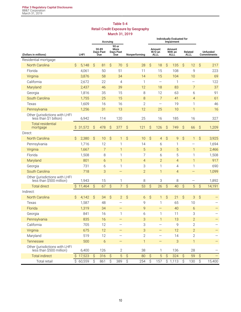# **Table 5-4 Retail Credit Exposure by Geography March 31, 2019**

|                                                            |                     |                       |                     |                                                                | Accruing             |                          |                     |                                 | Individually Evaluated for<br>Impairment |                          |                                  |                |                        |                         |             |        |
|------------------------------------------------------------|---------------------|-----------------------|---------------------|----------------------------------------------------------------|----------------------|--------------------------|---------------------|---------------------------------|------------------------------------------|--------------------------|----------------------------------|----------------|------------------------|-------------------------|-------------|--------|
| (Dollars in millions)                                      |                     | LHFI                  |                     | 90 or<br>30-89<br>More<br>Days Past<br>Days Past<br>Due<br>Due |                      |                          | Nonperforming       | Amount<br>W/O an<br><b>ALLL</b> |                                          |                          | Amount<br>With an<br><b>ALLL</b> |                | Related<br><b>ALLL</b> | Unfunded<br>Commitments |             |        |
| Residential mortgage:                                      |                     |                       |                     |                                                                |                      |                          |                     |                                 |                                          |                          |                                  |                |                        |                         |             |        |
| <b>North Carolina</b>                                      | Ŝ                   | 5,148                 | \$                  | 81                                                             | $\boldsymbol{\zeta}$ | 70                       | $\mathsf{S}$        | 28                              | $\hat{\mathcal{S}}$                      | 18                       | \$                               | 135            | \$                     | 12                      | \$          | 217    |
| Florida                                                    |                     | 4,061                 |                     | 50                                                             |                      | 51                       |                     | 11                              |                                          | 15                       |                                  | 108            |                        | 9                       |             | 223    |
| Virginia                                                   |                     | 3,876                 |                     | 58                                                             |                      | 34                       |                     | 14                              |                                          | 15                       |                                  | 104            |                        | 10                      |             | 69     |
| California                                                 |                     | 2,672                 |                     | 22                                                             |                      | $\overline{4}$           |                     | 1                               |                                          | —                        |                                  | 1              |                        |                         |             | 122    |
| Maryland                                                   |                     | 2,437                 |                     | 46                                                             |                      | 39                       |                     | 12                              |                                          | 18                       |                                  | 83             |                        | $\overline{7}$          |             | 37     |
| Georgia                                                    |                     | 1,816                 |                     | 35                                                             |                      | 15                       |                     | 8                               |                                          | 12                       |                                  | 63             |                        | 6                       |             | 91     |
| South Carolina                                             |                     | 1,755                 |                     | 25                                                             |                      | 15                       |                     | 8                               |                                          | $\overline{7}$           |                                  | 41             |                        | $\overline{4}$          |             | 61     |
| Texas                                                      |                     | 1,609                 |                     | 16                                                             |                      | 16                       |                     | $\overline{2}$                  |                                          | $\overline{\phantom{0}}$ |                                  | 19             |                        | 1                       |             | 46     |
| Pennsylvania                                               |                     | 1,256                 |                     | 31                                                             |                      | 13                       |                     | 12                              |                                          | 25                       |                                  | 10             |                        | $\mathbf{1}$            |             | 16     |
| Other (jurisdictions with LHFI<br>less than \$1 billion)   |                     | 6,942                 |                     | 114                                                            |                      | 120                      |                     | 25                              |                                          | 16                       |                                  | 185            |                        | 16                      |             | 327    |
| <b>Total residential</b><br>mortgage                       | \$                  | 31,572                | \$                  | 478                                                            | $\hat{S}$            | 377                      | \$                  | 121                             | \$                                       | 126                      | \$                               | 749            | \$                     | 66                      | \$          | 1,209  |
| Direct:                                                    |                     |                       |                     |                                                                |                      |                          |                     |                                 |                                          |                          |                                  |                |                        |                         |             |        |
| North Carolina                                             | Ŝ                   | 2,380                 | Ŝ                   | 10                                                             | \$                   | 1                        | \$                  | 10                              | Ŝ                                        | $\overline{4}$           | \$                               | 9              | \$                     | 1                       | \$          | 3,925  |
| Pennsylvania                                               |                     | 1,716                 |                     | 12                                                             |                      | 1                        |                     | 14                              |                                          | 6                        |                                  | 1              |                        |                         |             | 1,694  |
| Virginia                                                   |                     | 1,667                 |                     | $\overline{7}$                                                 |                      | $\mathbf{1}$             |                     | 5                               |                                          | 3                        |                                  | 5              |                        | 1                       |             | 2,466  |
| Florida                                                    |                     | 1,508                 |                     | 8                                                              |                      | $\mathbf{1}$             |                     | 7                               |                                          | 6                        |                                  | 5              |                        | 1                       |             | 1,508  |
| Maryland                                                   |                     | 801                   |                     | 6                                                              |                      | $\mathbf{1}$             |                     | $\overline{4}$                  |                                          | $\overline{2}$           |                                  | $\overline{4}$ |                        | $\mathbf{1}$            |             | 917    |
| Georgia                                                    |                     | 731                   |                     | 6                                                              |                      | $\mathbf{1}$             |                     | 3                               |                                          | 1                        |                                  | 4              |                        | 1                       |             | 690    |
| South Carolina                                             |                     | 718                   |                     | 3                                                              |                      | $\overline{\phantom{0}}$ |                     | $\overline{2}$                  |                                          | $\mathbf{1}$             |                                  | $\overline{4}$ |                        |                         |             | 1,099  |
| Other (jurisdictions with LHFI<br>less than \$500 million) |                     | 1,943                 |                     | 15                                                             |                      | $\mathbf{1}$             |                     | 8                               |                                          | 3                        |                                  | 8              |                        |                         |             | 1,892  |
| <b>Total direct</b>                                        | $\hat{\mathcal{S}}$ | 11,464                | $\hat{S}$           | 67                                                             | $\hat{S}$            | $\overline{7}$           | \$                  | 53                              | $\hat{S}$                                | 26                       | \$                               | 40             | $\hat{S}$              | 5                       | $\hat{S}$   | 14,191 |
| Indirect:                                                  |                     |                       |                     |                                                                |                      |                          |                     |                                 |                                          |                          |                                  |                |                        |                         |             |        |
| North Carolina                                             | \$                  | 4,142                 | $\hat{S}$           | 34                                                             | $\hat{S}$            | $\overline{2}$           | \$                  | 6                               | $\hat{S}$                                | $\mathbf{1}$             | \$                               | 21             | \$                     | 3                       | $\varsigma$ |        |
| Texas                                                      |                     | 1,587                 |                     | 48                                                             |                      |                          |                     | 9                               |                                          | $\mathbf{1}$             |                                  | 65             |                        | 10                      |             |        |
| Florida                                                    |                     | 1,319                 |                     | 34                                                             |                      |                          |                     | 9                               |                                          | -                        |                                  | 40             |                        | 6                       |             |        |
| Georgia                                                    |                     | 841                   |                     | 16                                                             |                      | 1                        |                     | 6                               |                                          | 1                        |                                  | 11             |                        | 3                       |             |        |
| Pennsylvania                                               |                     | 835                   |                     | 16                                                             |                      |                          |                     | $\ensuremath{\mathsf{3}}$       |                                          | $\mathbf{1}$             |                                  | 13             |                        | $\overline{2}$          |             |        |
| California                                                 |                     | 705                   |                     | 12                                                             |                      | $\qquad \qquad -$        |                     | $\ensuremath{\mathsf{3}}$       |                                          | $\overline{\phantom{0}}$ |                                  | 9              |                        | $\overline{2}$          |             |        |
| Virginia                                                   |                     | 675                   |                     | 12                                                             |                      | —                        |                     | 3                               |                                          | -                        |                                  | 12             |                        | $\overline{2}$          |             |        |
| Maryland                                                   |                     | 519                   |                     | 12                                                             |                      |                          |                     | $\mathbf{2}$                    |                                          |                          |                                  | 14             |                        | $\overline{2}$          |             |        |
| Tennessee                                                  |                     | 500                   |                     | $\boldsymbol{6}$                                               |                      |                          |                     | $\mathbf{1}$                    |                                          |                          |                                  | 3              |                        | $\mathbf{1}$            |             |        |
| Other (jurisdictions with LHFI<br>less than \$500 million) |                     | 6,400                 |                     | 126                                                            |                      | $\mathbf{2}$             |                     | 38                              |                                          | 1                        |                                  | 136            |                        | 28                      |             |        |
| <b>Total indirect</b>                                      |                     | \$17,523              | $\hat{\mathcal{S}}$ | 316                                                            | $\hat{S}$            | 5                        | $\hat{\mathcal{S}}$ | 80                              | $\hat{S}$                                | 5                        | $\hat{\mathcal{S}}$              | 324            | $\hat{S}$              | 59                      | $\hat{S}$   |        |
| Total retail                                               |                     | $\overline{$}$ 60,559 | \$                  | 861                                                            | \$                   | 389                      | \$                  | 254                             | \$                                       | 157                      |                                  | \$1,113        | \$                     | 130                     | \$          | 15,400 |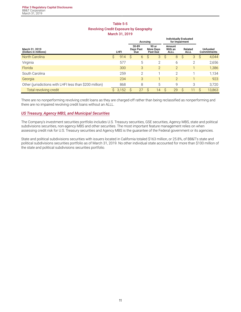# **Table 5-5 Revolving Credit Exposure by Geography March 31, 2019**

|                                                         |      |       | Accruina                  |                |                                       |                |                           | <b>Individually Evaluated</b><br>for Impairment |                 |   |    |                                       |
|---------------------------------------------------------|------|-------|---------------------------|----------------|---------------------------------------|----------------|---------------------------|-------------------------------------------------|-----------------|---|----|---------------------------------------|
| March 31, 2019<br>(Dollars in millions)                 | LHFI |       | 30-89<br>Days Past<br>Due |                | 90 or<br><b>More Davs</b><br>Past Due |                | Amount<br>With an<br>ALLL |                                                 | Related<br>ALLL |   |    | <b>Unfunded</b><br><b>Commitments</b> |
| <b>North Carolina</b>                                   | S    | 914   | S                         | 6              | S                                     | 3              | S                         | 8                                               | S               | 3 | S  | 4,044                                 |
| Virginia                                                |      | 577   |                           | 5              |                                       | 2              |                           | 6                                               |                 | 2 |    | 2,656                                 |
| Florida                                                 |      | 300   |                           | 3              |                                       | $\overline{2}$ |                           | $\overline{2}$                                  |                 |   |    | 1,386                                 |
| South Carolina                                          |      | 259   |                           | $\overline{2}$ |                                       |                |                           | $\overline{2}$                                  |                 |   |    | 1,134                                 |
| Georgia                                                 |      | 234   |                           | 3              |                                       |                |                           | $\overline{2}$                                  |                 |   |    | 923                                   |
| Other (jurisdictions with LHFI less than \$200 million) |      | 868   |                           | 8              |                                       | 5              |                           | 9                                               |                 | 3 |    | 3,720                                 |
| Total revolving credit                                  | S    | 3,152 | S                         | 27             | S                                     | 14             | Ŝ                         | 29                                              | S               |   | S. | 13,863                                |

There are no nonperforming revolving credit loans as they are charged-off rather than being reclassified as nonperforming and there are no impaired revolving credit loans without an ALLL.

#### *US Treasury, Agency MBS, and Municipal Securities*

The Company's investment securities portfolio includes U.S. Treasury securities, GSE securities, Agency MBS, state and political subdivisions securities, non-agency MBS and other securities. The most important feature management relies on when assessing credit risk for U.S. Treasury securities and Agency MBS is the guarantee of the Federal government or its agencies.

State and political subdivisions securities with issuers located in California totaled \$163 million, or 25.8%, of BB&T's state and political subdivisions securities portfolio as of March 31, 2019. No other individual state accounted for more than \$100 million of the state and political subdivisions securities portfolio.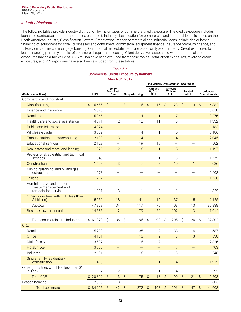# *Industry Disclosures*

The following tables provide industry distribution by major types of commercial credit exposure. The credit exposure includes loans and contractual commitments to extend credit. Industry classification for commercial and industrial loans is based on the North American Industry Classification System. Credit exposures for commercial and industrial loans include dealer-based financing of equipment for small businesses and consumers, commercial equipment finance, insurance premium finance, and full-service commercial mortgage banking. Commercial real estate loans are based on type of property. Credit exposures for lease financing primarily consist of commercial equipment leasing. Client derivatives associated with commercial credit exposures having a fair value of \$175 million have been excluded from these tables. Retail credit exposures, revolving credit exposures, and PCI exposures have also been excluded from these tables.

# **Table 5-6 Commercial Credit Exposure by Industry March 31, 2019**

|                                                                                |            |                     |                           |                           |                          | Individually Evaluated for Impairment |                                 |                           |                                  |                     |                          |                     |                                |
|--------------------------------------------------------------------------------|------------|---------------------|---------------------------|---------------------------|--------------------------|---------------------------------------|---------------------------------|---------------------------|----------------------------------|---------------------|--------------------------|---------------------|--------------------------------|
| (Dollars in millions)                                                          | LHFI       |                     | 30-89<br>Days Past<br>Due |                           | Nonperforming            |                                       | Amount<br>W/O an<br><b>ALLL</b> |                           | Amount<br>With an<br><b>ALLL</b> |                     | Related<br><b>ALLL</b>   |                     | Unfunded<br><b>Commitments</b> |
| Commercial and industrial:                                                     |            |                     |                           |                           |                          |                                       |                                 |                           |                                  |                     |                          |                     |                                |
| Manufacturing                                                                  | Ŝ<br>6,655 | Ŝ                   | $\mathbf{1}$              | \$                        | 16                       | $\mathcal{S}$                         | 15                              | Ŝ                         | 23                               | $\mathcal{S}$       | 3                        | \$                  | 6,382                          |
| Finance and insurance                                                          | 5,326      |                     | —                         |                           | $\overline{\phantom{0}}$ |                                       |                                 |                           | $\overline{\phantom{0}}$         |                     |                          |                     | 6,858                          |
| Retail trade                                                                   | 5,045      |                     | 1                         |                           | $\overline{4}$           |                                       | $\mathbf{1}$                    |                           | $7\overline{ }$                  |                     | $\mathbf{1}$             |                     | 3,276                          |
| Health care and social assistance                                              | 4,871      |                     | $\mathbf{2}$              |                           | 12                       |                                       | 11                              |                           | 8                                |                     |                          |                     | 1,332                          |
| Public administration                                                          | 4,024      |                     | $\mathbf{1}$              |                           | $\overline{\phantom{0}}$ |                                       | $\qquad \qquad -$               |                           | $\qquad \qquad -$                |                     | $\qquad \qquad -$        |                     | 183                            |
| Wholesale trade                                                                | 3,002      |                     | $\overline{\phantom{0}}$  |                           | 4                        |                                       | 1                               |                           | 5                                |                     | $\overline{\phantom{0}}$ |                     | 3,186                          |
| Transportation and warehousing                                                 | 2,193      |                     | 3                         |                           | $\overline{4}$           |                                       | $\equiv$                        |                           | $\overline{4}$                   |                     | $\mathbf{1}$             |                     | 2,045                          |
| <b>Educational services</b>                                                    | 2,128      |                     | $\overline{\phantom{0}}$  |                           | 19                       |                                       | 19                              |                           | $\equiv$                         |                     | $\overline{\phantom{0}}$ |                     | 502                            |
| Real estate and rental and leasing                                             | 1,925      |                     | $\overline{2}$            |                           | 6                        |                                       | $\mathbf{1}$                    |                           | 5                                |                     | $\mathbf{1}$             |                     | 1,197                          |
| Professional, scientific, and technical<br>services                            | 1,545      |                     | $\overline{\phantom{0}}$  |                           | 3                        |                                       | 1                               |                           | 3                                |                     | 1                        |                     | 1,779                          |
| Construction                                                                   | 1,453      |                     | 3                         |                           | 7                        |                                       | 3                               |                           | 10                               |                     | $\mathbf{1}$             |                     | 2,036                          |
| Mining, quarrying, and oil and gas<br>extraction                               | 1,273      |                     | $\overline{\phantom{0}}$  |                           |                          |                                       |                                 |                           |                                  |                     |                          |                     | 2,408                          |
| <b>Utilities</b>                                                               | 1,212      |                     |                           |                           |                          |                                       |                                 |                           |                                  |                     |                          |                     | 1,750                          |
| Administrative and support and<br>waste management and<br>remediation services | 1,091      |                     | 3                         |                           | 1                        |                                       | $\overline{2}$                  |                           | 1                                |                     |                          |                     | 829                            |
| Other (industries with LHFI less than<br>\$1 billion)                          | 5,650      |                     | 18                        |                           | 41                       |                                       | 16                              |                           | 37                               |                     | 5                        |                     | 2,125                          |
| Subtotal                                                                       | 47,393     |                     | 34                        |                           | 117                      |                                       | 70                              |                           | 103                              |                     | 13                       |                     | 35,888                         |
| <b>Business owner occupied</b>                                                 | 14,585     |                     | $\overline{2}$            |                           | 79                       |                                       | 20                              |                           | 102                              |                     | 13                       |                     | 1,914                          |
| Total commercial and industrial                                                | \$61,978   | S                   | 36                        | \$                        | 196                      | \$                                    | 90                              | Ŝ                         | 205                              | \$                  | 26                       | \$                  | 37,802                         |
| CRE:                                                                           |            |                     |                           |                           |                          |                                       |                                 |                           |                                  |                     |                          |                     |                                |
| Retail                                                                         | 5,200      |                     | 1                         |                           | 35                       |                                       | 2                               |                           | 38                               |                     | 16                       |                     | 687                            |
| Office                                                                         | 4,161      |                     | $\qquad \qquad -$         |                           | 13                       |                                       | $\overline{2}$                  |                           | 13                               |                     | 3                        |                     | 530                            |
| Multi-family                                                                   | 3,537      |                     |                           |                           | 16                       |                                       | 7                               |                           | 11                               |                     |                          |                     | 2,326                          |
| Hotel/motel                                                                    | 3,005      |                     | $\qquad \qquad -$         |                           | $\overline{\phantom{0}}$ |                                       | $\qquad \qquad -$               |                           | 17                               |                     | $\qquad \qquad -$        |                     | 403                            |
| Industrial                                                                     | 2,601      |                     |                           |                           | 6                        |                                       | 5                               |                           | 3                                |                     |                          |                     | 546                            |
| Single family residential -<br>construction                                    | 1,418      |                     |                           |                           | $\overline{2}$           |                                       | $\mathbf{1}$                    |                           | $\overline{4}$                   |                     | 1                        |                     | 1,919                          |
| Other (industries with LHFI less than \$1<br>billion)                          | 907        |                     | $\mathbf{2}$              |                           | 3                        |                                       | 1                               |                           | $\overline{4}$                   |                     | 1                        |                     | 92                             |
| <b>Total CRE</b>                                                               | \$20,829   | $\hat{S}$           | 3                         | $\hat{\mathcal{S}}$       | 75                       | $\mathcal{S}$                         | 18                              | $\hat{S}$                 | 90                               | $\hat{S}$           | 21                       | $\hat{S}$           | 6,503                          |
| Lease financing                                                                | 2,098      |                     | 3                         |                           | $\mathbf{1}$             |                                       |                                 |                           | $\mathbf{1}$                     |                     |                          |                     | 303                            |
| <b>Total commercial</b>                                                        | \$84,905   | $\hat{\mathcal{S}}$ | 42                        | $\boldsymbol{\mathsf{S}}$ | 272                      | $\hat{\mathcal{S}}$                   | 108                             | $\boldsymbol{\mathsf{S}}$ | 296                              | $\hat{\mathcal{S}}$ | 47                       | $\hat{\mathcal{S}}$ | 44,608                         |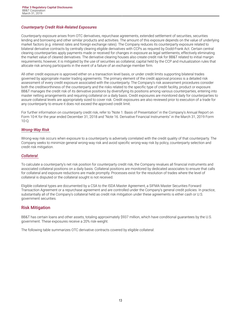# <span id="page-14-0"></span>*Counterparty Credit Risk-Related Exposures*

Counterparty exposure arises from OTC derivatives, repurchase agreements, extended settlement of securities, securities lending and borrowing and other similar products and activities. The amount of this exposure depends on the value of underlying market factors (e.g. interest rates and foreign exchange rates). The Company reduces its counterparty exposure related to bilateral derivative contracts by centrally clearing eligible derivatives with CCPs as required by Dodd-Frank Act. Certain central clearing counterparties apply payments made or received for changes in exposure as legal settlements, effectively eliminating the market value of cleared derivatives. The derivative clearing houses also create credit risk for BB&T related to initial margin requirements; however, it is mitigated by the use of securities as collateral, capital held by the CCP and mutualization rules that allocate risk among participants in the event of a failure of an exchange member firm.

All other credit exposure is approved either on a transaction level basis, or under credit limits supporting bilateral trades governed by appropriate master trading agreements. The primary element of the credit approval process is a detailed risk assessment of every credit exposure associated with the counterparty. The Company's risk assessment procedures consider both the creditworthiness of the counterparty and the risks related to the specific type of credit facility, product or exposure. BB&T manages the credit risk of its derivative positions by diversifying its positions among various counterparties, entering into master netting arrangements and requiring collateral on a daily basis. Credit exposures are monitored daily for counterparties to assure collateral levels are appropriately sized to cover risk. Credit exposures are also reviewed prior to execution of a trade for any counterparty to ensure it does not exceed the approved credit limit.

For further information on counterparty credit risk, refer to "Note 1. Basis of Presentation" in the Company's Annual Report on Form 10-K for the year ended December 31, 2018 and "Note 16. Derivative Financial Instruments" in the March 31, 2019 Form 10-Q.

#### *Wrong-Way Risk*

Wrong-way risk occurs when exposure to a counterparty is adversely correlated with the credit quality of that counterparty. The Company seeks to minimize general wrong-way risk and avoid specific wrong-way risk by policy, counterparty selection and credit risk mitigation.

#### *Collateral*

To calculate a counterparty's net risk position for counterparty credit risk, the Company revalues all financial instruments and associated collateral positions on a daily basis. Collateral positions are monitored by dedicated associates to ensure that calls for collateral and exposure reductions are made promptly. Processes exist for the resolution of trades where the level of collateral is disputed or the collateral sought is not received.

Eligible collateral types are documented by a CSA to the ISDA Master Agreement, a SIFMA Master Securities Forward Transaction Agreement or a repurchase agreement and are controlled under the Company's general credit policies. In practice, substantially all of the Company's collateral held as credit risk mitigation under these agreements is either cash or U.S. government securities.

# **Risk Mitigation**

BB&T has certain loans and other assets, totaling approximately \$937 million, which have conditional guarantees by the U.S. government. These exposures receive a 20% risk-weight.

The following table summarizes OTC derivative contracts covered by eligible collateral: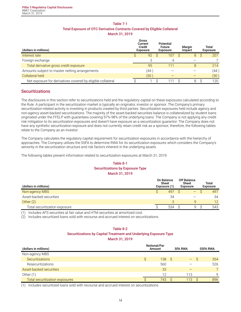# **Table 7-1 Total Exposure of OTC Derivative Contracts Covered by Eligible Collateral March 31, 2019**

<span id="page-15-0"></span>

| (dollars in millions)                                       | Gross<br>Current<br>Credit<br>Exposure | <b>Potential</b><br><b>Future</b><br><b>Exposure</b> | Margin<br>Impact | Total<br>Exposure |
|-------------------------------------------------------------|----------------------------------------|------------------------------------------------------|------------------|-------------------|
| Interest rate                                               | 92                                     | 107                                                  | 8                | 207               |
| Foreign exchange                                            |                                        |                                                      |                  |                   |
| Total derivative gross credit exposure                      | 95                                     | 111                                                  | 8                | 214               |
| Amounts subject to master netting arrangements              | (44)                                   |                                                      |                  | (44 )             |
| Collateral held                                             | (50)                                   |                                                      |                  | (50)              |
| Net exposure for derivatives covered by eligible collateral |                                        |                                                      | 8                | 120               |

# **Securitizations**

The disclosures in this section refer to securitizations held and the regulatory capital on these exposures calculated according to the Rule. A participant in the securitization market is typically an originator, investor or sponsor. The Company's primary securitization-related activity is investing in products created by third parties. Securitization exposures held include agency and non-agency asset-backed securitizations. The majority of the asset-backed securities balance is collateralized by student loans originated under the FFELP with guarantees covering 97%-98% of the underlying loans. The Company is not applying any credit risk mitigation to its securitization exposures and doesn't have exposure as a securitization guarantor. The Company does not have any synthetic securitization exposure and does not currently retain credit risk as a sponsor; therefore, the following tables relate to the Company as an investor.

The Company calculates the regulatory capital requirement for securitization exposures in accordance with the hierarchy of approaches. The Company utilizes the SSFA to determine RWA for its securitization exposures which considers the Company's seniority in the securitization structure and risk factors inherent in the underlying assets.

The following tables present information related to securitization exposures at March 31, 2019:

# **Table 8-1 Securitizations by Exposure Type March 31, 2019**

| (dollars in millions)         | <b>On Balance</b><br><b>Sheet</b><br>Exposure (1) | <b>Off Balance</b><br>Sheet<br><b>Exposure</b> | Total<br><b>Exposure</b> |
|-------------------------------|---------------------------------------------------|------------------------------------------------|--------------------------|
| Non-agency MBS                | 497                                               | $\qquad \qquad -$                              | 497                      |
| Asset-backed securities       | 34                                                |                                                | 34                       |
| Other $(2)$                   |                                                   | Q                                              | 12                       |
| Total securitization exposure | 534                                               | Q                                              | 543                      |

(1) Includes AFS securities at fair value and HTM securities at amortized cost.

(2) Includes securitized loans sold with recourse and accrued interest on securitizations.

# **Table 8-2 Securitizations by Capital Treatment and Underlying Exposure Type March 31, 2019**

| (dollars in millions)          | Notional/Par<br>Amount |     | <b>SSFA RWA</b> |  |
|--------------------------------|------------------------|-----|-----------------|--|
| Non-agency MBS                 |                        |     |                 |  |
| <b>Securitizations</b>         | 138                    | - S | 354<br>$-$ \$   |  |
| Resecuritizations              | 560                    |     | 526             |  |
| Asset-backed securities        | 33                     |     | $\overline{7}$  |  |
| Other $(1)$                    | 12                     | 113 | q               |  |
| Total securitization exposures | 743.                   | 113 | 896             |  |

(1) Includes securitized loans sold with recourse and accrued interest on securitizations.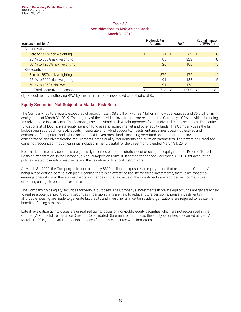# **Table 8-3 Securitizations by Risk Weight Bands March 31, 2019**

<span id="page-16-0"></span>

| (dollars in millions)          |   | <b>Notional/Par</b><br>Amount |    |       | <b>Capital impact</b><br>of RWA $(1)$ |    |
|--------------------------------|---|-------------------------------|----|-------|---------------------------------------|----|
| Securitizations:               |   |                               |    |       |                                       |    |
| Zero to 250% risk weighting    | Ŝ | 71                            | -S | 69    | -S                                    | 6  |
| 251% to 500% risk weighting    |   | 85                            |    | 222   |                                       | 18 |
| 501% to 1250% risk weighting   |   | 26                            |    | 186   |                                       | 15 |
| Resecuritizations:             |   |                               |    |       |                                       |    |
| Zero to 250% risk weighting    |   | 379                           |    | 176   |                                       | 14 |
| 251% to 500% risk weighting    |   | 91                            |    | 183   |                                       | 15 |
| 501% to 1250% risk weighting   |   | 91                            |    | 173   |                                       | 14 |
| Total securitization exposures |   | 743                           |    | 1.009 |                                       | 82 |

(1) Calculated by multiplying RWA by the minimum total risk-based capital ratio of 8%.

# **Equity Securities Not Subject to Market Risk Rule**

The Company has total equity exposures of approximately \$8.3 billion, with \$2.4 billion in individual equities and \$5.9 billion in equity funds at March 31, 2019. The majority of the individual investments are related to the Company's CRA activities, including tax-advantaged investments. The Company uses the simple risk-weight approach for its individual equity securities. The equity funds consist of BOLI, private equity, pension fund assets, money market and other equity funds. The Company uses the full look-through approach for BOLI assets in separate and hybrid accounts. Investment guidelines specify objectives and constraints for separate and hybrid account BOLI investment funds, including permitted and non-permitted investments, concentration and diversification requirements, credit quality requirements and duration parameters. There were no unrealized gains not recognized through earnings included in Tier 2 capital for the three months ended March 31, 2019.

Non-marketable equity securities are generally recorded either at historical cost or using the equity method. Refer to "Note 1. Basis of Presentation" in the Company's Annual Report on Form 10-K for the year ended December 31, 2018 for accounting policies related to equity investments and the valuation of financial instruments.

At March 31, 2019, the Company held approximately \$369 million of exposures in equity funds that relate to the Company's nonqualified defined contribution plan. Because there is an offsetting liability for these investments, there is no impact to earnings or equity from these investments as changes in the fair value of the investments are recorded in income with an offsetting change in personnel expense.

The Company holds equity securities for various purposes. The Company's investments in private equity funds are generally held to realize a potential profit, equity securities in pension plans are held to reduce future pension expense, investments in affordable housing are made to generate tax credits and investments in certain trade organizations are required to realize the benefits of being a member.

Latent revaluation gains/losses are unrealized gains/losses on non-public equity securities which are not recognized in the Company's Consolidated Balance Sheet or Consolidated Statement of Income as the equity securities are carried at cost. At March 31, 2019, latent valuation gains or losses for equity exposures were immaterial.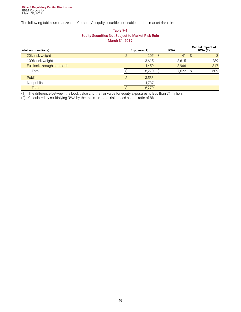The following table summarizes the Company's equity securities not subject to the market risk rule:

# **Table 9-1 Equity Securities Not Subject to Market Risk Rule March 31, 2019**

| (dollars in millions)      |   | Exposure (1) | <b>RWA</b> |              | Capital impact of<br><b>RWA (2)</b> |
|----------------------------|---|--------------|------------|--------------|-------------------------------------|
| 20% risk weight            |   | $205 \t$     | 41         | <sub>S</sub> | 3                                   |
| 100% risk weight           |   | 3,615        | 3,615      |              | 289                                 |
| Full look-through approach |   | 4,450        | 3,966      |              | 317                                 |
| Total                      |   | 8.270        | 7,622      |              | 609                                 |
| Public                     | Ŝ | 3,533        |            |              |                                     |
| Nonpublic                  |   | 4,737        |            |              |                                     |
| <b>Total</b>               |   | 8,270        |            |              |                                     |

(1) The difference between the book value and the fair value for equity exposures is less than \$1 million.

(2) Calculated by multiplying RWA by the minimum total risk-based capital ratio of 8%.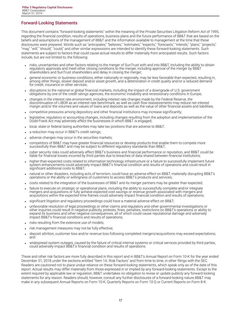# <span id="page-18-0"></span>**Forward-Looking Statements**

This document contains "forward-looking statements" within the meaning of the Private Securities Litigation Reform Act of 1995, regarding the financial condition, results of operations, business plans and the future performance of BB&T that are based on the beliefs and assumptions of the management of BB&T and the information available to management at the time that these disclosures were prepared. Words such as "anticipates," "believes," "estimates," "expects," "forecasts," "intends," "plans," "projects," "may," "will," "should," "could," and other similar expressions are intended to identify these forward-looking statements. Such statements are subject to factors that could cause actual results to differ materially from anticipated results. Such factors include, but are not limited to, the following:

- risks, uncertainties and other factors relating to the merger of SunTrust with and into BB&T, including the ability to obtain regulatory approvals and meet other closing conditions to the merger, including approval of the merger by BB&T shareholders and SunTrust shareholders and delay in closing the merger;
- general economic or business conditions, either nationally or regionally, may be less favorable than expected, resulting in, among other things, slower deposit and/or asset growth, and a deterioration in credit quality and/or a reduced demand for credit, insurance or other services;
- disruptions to the national or global financial markets, including the impact of a downgrade of U.S. government obligations by one of the credit ratings agencies, the economic instability and recessionary conditions in Europe;
- <sup>l</sup> changes in the interest rate environment, including interest rate changes made by the Federal Reserve, the discontinuation of LIBOR as an interest rate benchmark, as well as cash flow reassessments may reduce net interest margin and/or the volumes and values of loans and deposits as well as the value of other financial assets and liabilities;
- competitive pressures among depository and other financial institutions may increase significantly;
- legislative, regulatory or accounting changes, including changes resulting from the adoption and implementation of the Dodd-Frank Act may adversely affect the businesses in which BB&T is engaged;
- local, state or federal taxing authorities may take tax positions that are adverse to BB&T;
- a reduction may occur in BB&T's credit ratings;
- . adverse changes may occur in the securities markets;
- competitors of BB&T may have greater financial resources or develop products that enable them to compete more successfully than BB&T and may be subject to different regulatory standards than BB&T;
- cyber security risks could adversely affect BB&T's business and financial performance or reputation, and BB&T could be liable for financial losses incurred by third parties due to breaches of data shared between financial institutions;
- higher-than-expected costs related to information technology infrastructure or a failure to successfully implement future system enhancements could adversely impact BB&T's financial condition and results of operations and could result in significant additional costs to BB&T;
- <sup>l</sup> natural or other disasters, including acts of terrorism, could have an adverse effect on BB&T, materially disrupting BB&T's operations or the ability or willingness of customers to access BB&T's products and services;
- . costs related to the integration of the businesses of BB&T and its merger partners may be greater than expected;
- failure to execute on strategic or operational plans, including the ability to successfully complete and/or integrate mergers and acquisitions or fully achieve expected cost savings or revenue growth associated with mergers and acquisitions within the expected time frames could adversely impact financial condition and results of operations;
- significant litigation and regulatory proceedings could have a material adverse effect on BB&T;
- unfavorable resolution of legal proceedings or other claims and regulatory and other governmental investigations or other inquiries could result in negative publicity, protests, fines, penalties, restrictions on BB&T's operations or ability to expand its business and other negative consequences, all of which could cause reputational damage and adversely impact BB&T's financial conditions and results of operations;
- . risks resulting from the extensive use of models;
- risk management measures may not be fully effective;
- deposit attrition, customer loss and/or revenue loss following completed mergers/acquisitions may exceed expectations; and
- <sup>l</sup> widespread system outages, caused by the failure of critical internal systems or critical services provided by third parties, could adversely impact BB&T's financial condition and results of operations.

These and other risk factors are more fully described in this report and in BB&T's Annual Report on Form 10-K for the year ended December 31, 2018 under the sections entitled "Item 1A. Risk Factors" and from time to time, in other filings with the SEC. Readers are cautioned not to place undue reliance on these forward-looking statements, which speak only as of the date of this report. Actual results may differ materially from those expressed in or implied by any forward-looking statements. Except to the extent required by applicable law or regulation, BB&T undertakes no obligation to revise or update publicly any forward-looking statements for any reason. Readers should, however, consult any further disclosures of a forward-looking nature BB&T may make in any subsequent Annual Reports on Form 10-K, Quarterly Reports on Form 10-Q or Current Reports on Form 8-K.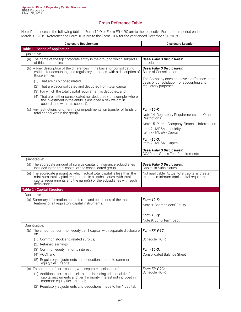# **Cross Reference Table**

<span id="page-19-0"></span>Note: References in the following table to Form 10-Q or Form FR Y-9C are to the respective Form for the period ended March 31, 2019. References to Form 10-K are to the Form 10-K for the year ended December 31, 2018.

| <b>Disclosure Requirement</b>                                                                                                                                                                                                                                                                                                         | <b>Disclosure Location</b>                                                                                         |
|---------------------------------------------------------------------------------------------------------------------------------------------------------------------------------------------------------------------------------------------------------------------------------------------------------------------------------------|--------------------------------------------------------------------------------------------------------------------|
| <b>Table 1 - Scope of Application</b>                                                                                                                                                                                                                                                                                                 |                                                                                                                    |
| Oualitative:                                                                                                                                                                                                                                                                                                                          |                                                                                                                    |
| (a) The name of the top corporate entity in the group to which subpart D<br>of this part applies.                                                                                                                                                                                                                                     | <b>Basel Pillar 3 Disclosures:</b><br>Introduction                                                                 |
| (b) A brief description of the differences in the basis for consolidating<br>entities for accounting and regulatory purposes, with a description of<br>those entities:                                                                                                                                                                | <b>Basel Pillar 3 Disclosures:</b><br><b>Basis of Consolidation</b>                                                |
| (1) That are fully consolidated;<br>(2) That are deconsolidated and deducted from total capital;<br>(3) For which the total capital requirement is deducted; and<br>(4) That are neither consolidated nor deducted (for example, where<br>the investment in the entity is assigned a risk weight in<br>accordance with this subpart). | The Company does not have a difference in the<br>basis of consolidation for accounting and<br>regulatory purposes. |
| (c) Any restrictions, or other major impediments, on transfer of funds or<br>total capital within the group.                                                                                                                                                                                                                          | Form 10-K:<br>Note 14. Regulatory Requirements and Other                                                           |
|                                                                                                                                                                                                                                                                                                                                       | Restrictions<br>Note 15. Parent Company Financial Information                                                      |
|                                                                                                                                                                                                                                                                                                                                       | Item 7 - MD&A - Liquidity<br>Item 7 - MD&A - Capital                                                               |
|                                                                                                                                                                                                                                                                                                                                       | Form 10-Q:<br>Item 2 - MD&A - Capital                                                                              |
|                                                                                                                                                                                                                                                                                                                                       | <b>Basel Pillar 3 Disclosures:</b><br><b>CCAR and Stress Test Requirements</b>                                     |
| Quantitative:                                                                                                                                                                                                                                                                                                                         |                                                                                                                    |
| (d) The aggregate amount of surplus capital of insurance subsidiaries<br>included in the total capital of the consolidated group.                                                                                                                                                                                                     | <b>Basel Pillar 3 Disclosures:</b><br>Capital in Subsidiaries                                                      |
| (e) The aggregate amount by which actual total capital is less than the<br>minimum total capital requirement in all subsidiaries, with total<br>capital requirements and the name(s) of the subsidiaries with such<br>deficiencies.                                                                                                   | Not applicable. Actual total capital is greater<br>than the minimum total capital requirement.                     |
| <b>Table 2 - Capital Structure</b>                                                                                                                                                                                                                                                                                                    |                                                                                                                    |
| Oualitative:                                                                                                                                                                                                                                                                                                                          |                                                                                                                    |
| (a) Summary information on the terms and conditions of the main<br>features of all regulatory capital instruments.                                                                                                                                                                                                                    | Form 10-K:<br>Note 9. Shareholders' Equity                                                                         |
|                                                                                                                                                                                                                                                                                                                                       | Form 10-0:                                                                                                         |
| Ouantitative:                                                                                                                                                                                                                                                                                                                         | Note 9. Long-Term Debt                                                                                             |
| (b) The amount of common equity tier 1 capital, with separate disclosure                                                                                                                                                                                                                                                              | Form FR Y-9C:                                                                                                      |
| of:                                                                                                                                                                                                                                                                                                                                   |                                                                                                                    |
| (1) Common stock and related surplus;                                                                                                                                                                                                                                                                                                 | Schedule HC-R                                                                                                      |
| (2) Retained earnings;                                                                                                                                                                                                                                                                                                                |                                                                                                                    |
| (3) Common equity minority interest;                                                                                                                                                                                                                                                                                                  | Form 10-Q:                                                                                                         |
| $(4)$ AOCI; and                                                                                                                                                                                                                                                                                                                       | <b>Consolidated Balance Sheet</b>                                                                                  |
| (5) Regulatory adjustments and deductions made to common<br>equity tier 1 capital.                                                                                                                                                                                                                                                    |                                                                                                                    |
| (c) The amount of tier 1 capital, with separate disclosure of:                                                                                                                                                                                                                                                                        | Form FR Y-9C:                                                                                                      |
| (1) Additional tier 1 capital elements, including additional tier 1<br>capital instruments and tier 1 minority interest not included in<br>common equity tier 1 capital; and                                                                                                                                                          | Schedule HC-R                                                                                                      |
| (2) Regulatory adjustments and deductions made to tier 1 capital.                                                                                                                                                                                                                                                                     |                                                                                                                    |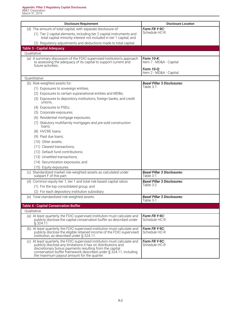| <b>Disclosure Requirement</b>                                                                                                                                                                                                                                                                                                | <b>Disclosure Location</b>                                                     |
|------------------------------------------------------------------------------------------------------------------------------------------------------------------------------------------------------------------------------------------------------------------------------------------------------------------------------|--------------------------------------------------------------------------------|
| (d) The amount of total capital, with separate disclosure of:                                                                                                                                                                                                                                                                | Form FR Y-9C:                                                                  |
| (1) Tier 2 capital elements, including tier 2 capital instruments and<br>total capital minority interest not included in tier 1 capital; and                                                                                                                                                                                 | Schedule HC-R                                                                  |
| (2) Regulatory adjustments and deductions made to total capital.                                                                                                                                                                                                                                                             |                                                                                |
| <b>Table 3 - Capital Adequacy</b>                                                                                                                                                                                                                                                                                            |                                                                                |
| Qualitative:                                                                                                                                                                                                                                                                                                                 |                                                                                |
| (a) A summary discussion of the FDIC-supervised institution's approach<br>to assessing the adequacy of its capital to support current and<br>future activities.                                                                                                                                                              | Form 10-K:<br>Item 7 - MD&A - Capital<br>Form 10-Q:<br>Item 2 - MD&A - Capital |
| Ouantitative:                                                                                                                                                                                                                                                                                                                |                                                                                |
| (b) Risk-weighted assets for:                                                                                                                                                                                                                                                                                                | <b>Basel Pillar 3 Disclosures:</b>                                             |
| (1) Exposures to sovereign entities;                                                                                                                                                                                                                                                                                         | Table 3-1                                                                      |
| (2) Exposures to certain supranational entities and MDBs;                                                                                                                                                                                                                                                                    |                                                                                |
| (3) Exposures to depository institutions, foreign banks, and credit<br>unions;                                                                                                                                                                                                                                               |                                                                                |
| (4) Exposures to PSEs;                                                                                                                                                                                                                                                                                                       |                                                                                |
| (5) Corporate exposures;                                                                                                                                                                                                                                                                                                     |                                                                                |
| (6) Residential mortgage exposures;                                                                                                                                                                                                                                                                                          |                                                                                |
| (7) Statutory multifamily mortgages and pre-sold construction<br>loans;                                                                                                                                                                                                                                                      |                                                                                |
| (8) HVCRE loans;                                                                                                                                                                                                                                                                                                             |                                                                                |
| (9) Past due loans;                                                                                                                                                                                                                                                                                                          |                                                                                |
| (10) Other assets;                                                                                                                                                                                                                                                                                                           |                                                                                |
| (11) Cleared transactions;                                                                                                                                                                                                                                                                                                   |                                                                                |
| (12) Default fund contributions;                                                                                                                                                                                                                                                                                             |                                                                                |
| (13) Unsettled transactions;                                                                                                                                                                                                                                                                                                 |                                                                                |
| (14) Securitization exposures; and                                                                                                                                                                                                                                                                                           |                                                                                |
| (15) Equity exposures.                                                                                                                                                                                                                                                                                                       |                                                                                |
| (c) Standardized market risk-weighted assets as calculated under<br>subpart F of this part.                                                                                                                                                                                                                                  | <b>Basel Pillar 3 Disclosures:</b><br>Table 3-1                                |
| (d) Common equity tier 1, tier 1 and total risk-based capital ratios:                                                                                                                                                                                                                                                        | <b>Basel Pillar 3 Disclosures:</b>                                             |
| (1) For the top consolidated group; and                                                                                                                                                                                                                                                                                      | Table 3-2                                                                      |
| (2) For each depository institution subsidiary.                                                                                                                                                                                                                                                                              |                                                                                |
| (e) Total standardized risk-weighted assets.                                                                                                                                                                                                                                                                                 | <b>Basel Pillar 3 Disclosures:</b><br>Table 3-1                                |
| <b>Table 4 - Capital Conservation Buffer</b>                                                                                                                                                                                                                                                                                 |                                                                                |
| Qualitative:                                                                                                                                                                                                                                                                                                                 |                                                                                |
| (a) At least quarterly, the FDIC-supervised institution must calculate and<br>publicly disclose the capital conservation buffer as described under<br>$\S$ 324.11.                                                                                                                                                           | Form FR Y-9C:<br>Schedule HC-R                                                 |
| (b) At least quarterly, the FDIC-supervised institution must calculate and<br>publicly disclose the eligible retained income of the FDIC-supervised<br>institution, as described under § 324.11.                                                                                                                             | Form FR Y-9C:<br>Schedule HC-R                                                 |
| At least quarterly, the FDIC-supervised institution must calculate and<br>(C)<br>publicly disclose any limitations it has on distributions and<br>discretionary bonus payments resulting from the capital<br>conservation buffer framework described under § 324.11, including<br>the maximum payout amount for the quarter. | Form FR Y-9C:<br>Schedule HC-R                                                 |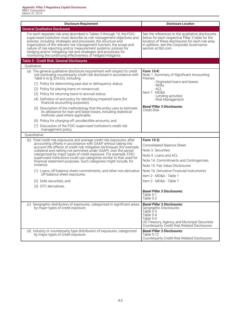| <b>Disclosure Requirement</b>                                                                                                                                                                                                                                                                                                                                                                                                                                                                                             | <b>Disclosure Location</b>                                                                                                                                                                                                     |
|---------------------------------------------------------------------------------------------------------------------------------------------------------------------------------------------------------------------------------------------------------------------------------------------------------------------------------------------------------------------------------------------------------------------------------------------------------------------------------------------------------------------------|--------------------------------------------------------------------------------------------------------------------------------------------------------------------------------------------------------------------------------|
| <b>General Qualitative Disclosure</b>                                                                                                                                                                                                                                                                                                                                                                                                                                                                                     |                                                                                                                                                                                                                                |
| For each separate risk area described in Tables 5 through 10, the FDIC-<br>supervised institution must describe its risk management objectives and<br>policies, including: strategies and processes; the structure and<br>organization of the relevant risk management function; the scope and<br>nature of risk reporting and/or measurement systems; policies for<br>hedging and/or mitigating risk and strategies and processes for<br>monitoring the continuing effectiveness of hedges/mitigants.                    | See the references to the qualitative disclosures<br>below for each respective Pillar 3 table for the<br>location of these disclosures for each risk area.<br>In addition, see the Corporate Governance<br>section at bbt.com. |
| Table 5 - Credit Risk: General Disclosures                                                                                                                                                                                                                                                                                                                                                                                                                                                                                |                                                                                                                                                                                                                                |
| Qualitative:                                                                                                                                                                                                                                                                                                                                                                                                                                                                                                              |                                                                                                                                                                                                                                |
| (a) The general qualitative disclosure requirement with respect to credit<br>risk (excluding counterparty credit risk disclosed in accordance with<br>Table 6 to $\S$ 324.63), including:                                                                                                                                                                                                                                                                                                                                 | Form 10-K:<br>Note 1. Summary of Significant Accounting<br>Policies                                                                                                                                                            |
| (1) Policy for determining past due or delinquency status;                                                                                                                                                                                                                                                                                                                                                                                                                                                                | - Originated loans and leases<br>- NPAs                                                                                                                                                                                        |
| (2) Policy for placing loans on nonaccrual;                                                                                                                                                                                                                                                                                                                                                                                                                                                                               | - ACL                                                                                                                                                                                                                          |
| (3) Policy for returning loans to accrual status;                                                                                                                                                                                                                                                                                                                                                                                                                                                                         | Item 7 - MD&A<br>- Lending activities                                                                                                                                                                                          |
| (4) Definition of and policy for identifying impaired loans (for<br>financial accounting purposes);                                                                                                                                                                                                                                                                                                                                                                                                                       | - Risk Management                                                                                                                                                                                                              |
| (5) Description of the methodology that the entity uses to estimate<br>its allowance for loan and lease losses, including statistical<br>methods used where applicable;                                                                                                                                                                                                                                                                                                                                                   | <b>Basel Pillar 3 Disclosures:</b><br>Credit Risk                                                                                                                                                                              |
| (6) Policy for charging-off uncollectible amounts; and                                                                                                                                                                                                                                                                                                                                                                                                                                                                    |                                                                                                                                                                                                                                |
| (7) Discussion of the FDIC-supervised institution's credit risk<br>management policy.                                                                                                                                                                                                                                                                                                                                                                                                                                     |                                                                                                                                                                                                                                |
| Quantitative:                                                                                                                                                                                                                                                                                                                                                                                                                                                                                                             |                                                                                                                                                                                                                                |
| (b) Total credit risk exposures and average credit risk exposures, after<br>accounting offsets in accordance with GAAP, without taking into<br>account the effects of credit risk mitigation techniques (for example,<br>collateral and netting not permitted under GAAP), over the period<br>categorized by major types of credit exposure. For example, FDIC-<br>supervised institutions could use categories similar to that used for<br>financial statement purposes. Such categories might include, for<br>instance: | Form 10-Q:<br><b>Consolidated Balance Sheet</b><br>Note 3. Securities<br>Note 4. Loans and ACL<br>Note 14. Commitments and Contingencies<br>Note 15. Fair Value Disclosures                                                    |
| (1) Loans, off-balance sheet commitments, and other non-derivative<br>off-balance sheet exposures;                                                                                                                                                                                                                                                                                                                                                                                                                        | Note 16. Derivative Financial Instruments                                                                                                                                                                                      |
|                                                                                                                                                                                                                                                                                                                                                                                                                                                                                                                           | Item 2 - MD&A - Table 1                                                                                                                                                                                                        |
| (2) Debt securities; and                                                                                                                                                                                                                                                                                                                                                                                                                                                                                                  | Item 2 - MD&A - Table 7                                                                                                                                                                                                        |
| (3) OTC derivatives.                                                                                                                                                                                                                                                                                                                                                                                                                                                                                                      |                                                                                                                                                                                                                                |
|                                                                                                                                                                                                                                                                                                                                                                                                                                                                                                                           | <b>Basel Pillar 3 Disclosures:</b><br>Table 5-1<br>Table 5-2                                                                                                                                                                   |
| (c) Geographic distribution of exposures, categorized in significant areas<br>by major types of credit exposure.                                                                                                                                                                                                                                                                                                                                                                                                          | <b>Basel Pillar 3 Disclosures:</b><br>Geographic Disclosures<br>Table 5-3<br>Table 5-4<br>Table 5-5<br>US Treasury, Agency, and Municipal Securities<br>Counterparty Credit Risk Related Disclosures                           |
| (d) Industry or counterparty type distribution of exposures, categorized<br>by major types of credit exposure.                                                                                                                                                                                                                                                                                                                                                                                                            | <b>Basel Pillar 3 Disclosures:</b><br>Table 5-12<br>Counterparty Credit Risk Related Disclosures                                                                                                                               |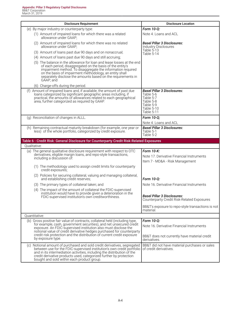| <b>Disclosure Requirement</b>                                                                                                                                                                                                                                                                                                                     | <b>Disclosure Location</b>                                                                                                |
|---------------------------------------------------------------------------------------------------------------------------------------------------------------------------------------------------------------------------------------------------------------------------------------------------------------------------------------------------|---------------------------------------------------------------------------------------------------------------------------|
| (e) By major industry or counterparty type:                                                                                                                                                                                                                                                                                                       | Form 10-Q:                                                                                                                |
| (1) Amount of impaired loans for which there was a related<br>allowance under GAAP;                                                                                                                                                                                                                                                               | Note 4. Loans and ACL                                                                                                     |
| (2) Amount of impaired loans for which there was no related<br>allowance under GAAP;                                                                                                                                                                                                                                                              | <b>Basel Pillar 3 Disclosures:</b><br><b>Industry Disclosures</b>                                                         |
| (3) Amount of loans past due 90 days and on nonaccrual;                                                                                                                                                                                                                                                                                           | Table 5-13<br>Table 5-14                                                                                                  |
| (4) Amount of loans past due 90 days and still accruing;                                                                                                                                                                                                                                                                                          |                                                                                                                           |
| (5) The balance in the allowance for loan and lease losses at the end<br>of each period, disaggregated on the basis of the entity's<br>impairment method. To disaggregate the information required<br>on the basis of impairment methodology, an entity shall<br>separately disclose the amounts based on the requirements in<br>GAAP; and        |                                                                                                                           |
| (6) Charge-offs during the period.                                                                                                                                                                                                                                                                                                                |                                                                                                                           |
| (f) Amount of impaired loans and, if available, the amount of past due<br>loans categorized by significant geographic areas including, if<br>practical, the amounts of allowances related to each geographical<br>area, further categorized as required by GAAP.                                                                                  | <b>Basel Pillar 3 Disclosures:</b><br>Table 5-6<br>Table 5-7<br>Table 5-8<br>Table 5-9<br>Table 5-10<br><b>Table 5-11</b> |
| (g) Reconciliation of changes in ALLL.                                                                                                                                                                                                                                                                                                            | Form 10-Q;                                                                                                                |
|                                                                                                                                                                                                                                                                                                                                                   | Note 4. Loans and ACL                                                                                                     |
| (h) Remaining contractual maturity breakdown (for example, one year or<br>less) of the whole portfolio, categorized by credit exposure.                                                                                                                                                                                                           | <b>Basel Pillar 3 Disclosures:</b><br>Table 5-1<br>Table 5-2                                                              |
| Table 6 - Credit Risk: General Disclosure for Counterparty Credit Risk-Related Exposures                                                                                                                                                                                                                                                          |                                                                                                                           |
| Qualitative:                                                                                                                                                                                                                                                                                                                                      |                                                                                                                           |
| (a) The general qualitative disclosure requirement with respect to OTC<br>derivatives, eligible margin loans, and repo-style transactions,<br>including a discussion of:                                                                                                                                                                          | Form 10-K:<br>Note 17. Derivative Financial Instruments<br>Item 7 - MD&A - Risk Management                                |
| (1) The methodology used to assign credit limits for counterparty<br>credit exposures;                                                                                                                                                                                                                                                            |                                                                                                                           |
| (2) Policies for securing collateral, valuing and managing collateral,<br>and establishing credit reserves;                                                                                                                                                                                                                                       | Form 10-Q:                                                                                                                |
| (3) The primary types of collateral taken; and                                                                                                                                                                                                                                                                                                    | Note 16. Derivative Financial Instruments                                                                                 |
| (4) The impact of the amount of collateral the FDIC-supervised                                                                                                                                                                                                                                                                                    |                                                                                                                           |
| institution would have to provide given a deterioration in the<br>FDIC-supervised institution's own creditworthiness.                                                                                                                                                                                                                             | <b>Basel Pillar 3 Disclosures:</b><br><b>Counterparty Credit Risk-Related Exposures</b>                                   |
|                                                                                                                                                                                                                                                                                                                                                   | BB&T's exposure to repo-style transactions is not<br>material.                                                            |
| Quantitative:                                                                                                                                                                                                                                                                                                                                     |                                                                                                                           |
| (b) Gross positive fair value of contracts, collateral held (including type,                                                                                                                                                                                                                                                                      | Form 10-Q:                                                                                                                |
| for example, cash, government securities), and net unsecured credit<br>exposure. An FDIC-supervised institution also must disclose the<br>notional value of credit derivative hedges purchased for counterparty                                                                                                                                   | Note 16. Derivative Financial Instruments                                                                                 |
| credit risk protection and the distribution of current credit exposure<br>by exposure type.                                                                                                                                                                                                                                                       | BB&T does not currently have material credit<br>derivatives.                                                              |
| (c) Notional amount of purchased and sold credit derivatives, segregated<br>between use for the FDIC-supervised institution's own credit portfolio<br>and in its intermediation activities, including the distribution of the<br>credit derivative products used, categorized further by protection<br>bought and sold within each product group. | BB&T did not have material purchases or sales<br>of credit derivatives.                                                   |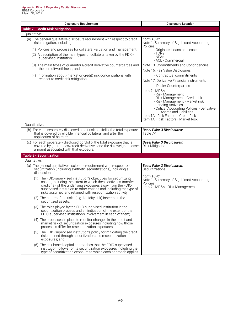| <b>Disclosure Requirement</b>                                                                                                                                                                                                                                                                                                                                                                                                                                                                         | <b>Disclosure Location</b>                                                                                                                                                                                                                                                                                                                                                                                                                                                                                                                                                                   |
|-------------------------------------------------------------------------------------------------------------------------------------------------------------------------------------------------------------------------------------------------------------------------------------------------------------------------------------------------------------------------------------------------------------------------------------------------------------------------------------------------------|----------------------------------------------------------------------------------------------------------------------------------------------------------------------------------------------------------------------------------------------------------------------------------------------------------------------------------------------------------------------------------------------------------------------------------------------------------------------------------------------------------------------------------------------------------------------------------------------|
| <b>Table 7 - Credit Risk Mitigation</b>                                                                                                                                                                                                                                                                                                                                                                                                                                                               |                                                                                                                                                                                                                                                                                                                                                                                                                                                                                                                                                                                              |
| Qualitative:                                                                                                                                                                                                                                                                                                                                                                                                                                                                                          |                                                                                                                                                                                                                                                                                                                                                                                                                                                                                                                                                                                              |
| (a) The general qualitative disclosure requirement with respect to credit<br>risk mitigation, including:<br>(1) Policies and processes for collateral valuation and management;<br>(2) A description of the main types of collateral taken by the FDIC-<br>supervised institution;<br>(3) The main types of guarantors/credit derivative counterparties and<br>their creditworthiness; and<br>(4) Information about (market or credit) risk concentrations with<br>respect to credit risk mitigation. | Form 10-K:<br>Note 1. Summary of Significant Accounting<br><b>Policies</b><br>- Originated loans and leases<br>- TDRs<br>- NPAs<br>- ACL - Commercial<br>Note 13. Commitments and Contingencies<br>Note 16, Fair Value Disclosures<br>- Contractual commitments<br>Note 17. Derivative Financial Instruments<br>- Dealer Counterparties<br>Item 7 - MD&A<br>- Risk Management<br>- Risk Management - Credit risk<br>- Risk Management - Market risk<br>- Lending Activities<br>- Critical Accounting Policies - Derivative<br>Assets and Liabilities<br>Item 1A - Risk Factors - Credit Risk |
|                                                                                                                                                                                                                                                                                                                                                                                                                                                                                                       | Item 1A - Risk Factors - Market Risk                                                                                                                                                                                                                                                                                                                                                                                                                                                                                                                                                         |
| Ouantitative:                                                                                                                                                                                                                                                                                                                                                                                                                                                                                         |                                                                                                                                                                                                                                                                                                                                                                                                                                                                                                                                                                                              |
| (b) For each separately disclosed credit risk portfolio, the total exposure<br>that is covered by eligible financial collateral, and after the<br>application of haircuts.                                                                                                                                                                                                                                                                                                                            | <b>Basel Pillar 3 Disclosures:</b><br>Table 7-1                                                                                                                                                                                                                                                                                                                                                                                                                                                                                                                                              |
| (c) For each separately disclosed portfolio, the total exposure that is<br>covered by guarantees/credit derivatives and the risk-weighted asset<br>amount associated with that exposure.                                                                                                                                                                                                                                                                                                              | <b>Basel Pillar 3 Disclosures:</b><br><b>Risk Mitigation</b>                                                                                                                                                                                                                                                                                                                                                                                                                                                                                                                                 |
| <b>Table 8 - Securitization</b>                                                                                                                                                                                                                                                                                                                                                                                                                                                                       |                                                                                                                                                                                                                                                                                                                                                                                                                                                                                                                                                                                              |
| Qualitative:                                                                                                                                                                                                                                                                                                                                                                                                                                                                                          |                                                                                                                                                                                                                                                                                                                                                                                                                                                                                                                                                                                              |
| (a) The general qualitative disclosure requirement with respect to a<br>securitization (including synthetic securitizations), including a<br>discussion of:                                                                                                                                                                                                                                                                                                                                           | <b>Basel Pillar 3 Disclosures:</b><br>Securitizations                                                                                                                                                                                                                                                                                                                                                                                                                                                                                                                                        |
| (1) The FDIC-supervised institution's objectives for securitizing<br>assets, including the extent to which these activities transfer<br>credit risk of the underlying exposures away from the FDIC-<br>supervised institution to other entities and including the type of<br>risks assumed and retained with resecuritization activity;                                                                                                                                                               | Form 10-K:<br>Note 1. Summary of Significant Accounting<br><b>Policies</b><br>Item 7 - MD&A - Risk Management                                                                                                                                                                                                                                                                                                                                                                                                                                                                                |
| (2) The nature of the risks (e.g. liquidity risk) inherent in the<br>securitized assets:                                                                                                                                                                                                                                                                                                                                                                                                              |                                                                                                                                                                                                                                                                                                                                                                                                                                                                                                                                                                                              |
| (3) The roles played by the FDIC-supervised institution in the<br>securitization process and an indication of the extent of the<br>FDIC-supervised institution's involvement in each of them;                                                                                                                                                                                                                                                                                                         |                                                                                                                                                                                                                                                                                                                                                                                                                                                                                                                                                                                              |
| (4) The processes in place to monitor changes in the credit and<br>market risk of securitization exposures including how those<br>processes differ for resecuritization exposures;                                                                                                                                                                                                                                                                                                                    |                                                                                                                                                                                                                                                                                                                                                                                                                                                                                                                                                                                              |
| (5) The FDIC-supervised institution's policy for mitigating the credit<br>risk retained through securitization and resecuritization<br>exposures; and                                                                                                                                                                                                                                                                                                                                                 |                                                                                                                                                                                                                                                                                                                                                                                                                                                                                                                                                                                              |
| (6) The risk-based capital approaches that the FDIC-supervised<br>institution follows for its securitization exposures including the<br>type of securitization exposure to which each approach applies.                                                                                                                                                                                                                                                                                               |                                                                                                                                                                                                                                                                                                                                                                                                                                                                                                                                                                                              |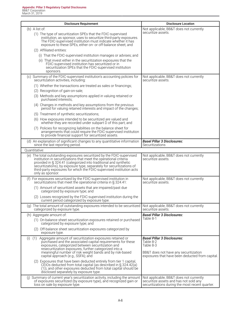| <b>Disclosure Requirement</b>                                                                                                                                                                                                                                                                                                                                                        | <b>Disclosure Location</b>                                                                                                                               |
|--------------------------------------------------------------------------------------------------------------------------------------------------------------------------------------------------------------------------------------------------------------------------------------------------------------------------------------------------------------------------------------|----------------------------------------------------------------------------------------------------------------------------------------------------------|
| $(b)$ A list of:<br>(1) The type of securitization SPEs that the FDIC-supervised<br>institution, as sponsor, uses to securitize third-party exposures.<br>The FDIC-supervised institution must indicate whether it has                                                                                                                                                               | Not applicable, BB&T does not currently<br>securitize assets.                                                                                            |
| exposure to these SPEs, either on- or off-balance sheet; and<br>(2) Affiliated entities:<br>(i) That the FDIC-supervised institution manages or advises; and<br>(ii) That invest either in the securitization exposures that the<br>FDIC-supervised institution has securitized or in<br>securitization SPEs that the FDIC-supervised institution<br>sponsors.                       |                                                                                                                                                          |
| (c) Summary of the FDIC-supervised institution's accounting policies for<br>securitization activities, including:                                                                                                                                                                                                                                                                    | Not applicable, BB&T does not currently<br>securitize assets.                                                                                            |
| (1) Whether the transactions are treated as sales or financings;<br>(2) Recognition of gain-on-sale;<br>(3) Methods and key assumptions applied in valuing retained or<br>purchased interests;                                                                                                                                                                                       |                                                                                                                                                          |
| (4) Changes in methods and key assumptions from the previous<br>period for valuing retained interests and impact of the changes;<br>(5) Treatment of synthetic securitizations;<br>(6) How exposures intended to be securitized are valued and                                                                                                                                       |                                                                                                                                                          |
| whether they are recorded under subpart D of this part; and<br>(7) Policies for recognizing liabilities on the balance sheet for<br>arrangements that could require the FDIC-supervised institution<br>to provide financial support for securitized assets.                                                                                                                          |                                                                                                                                                          |
| (d) An explanation of significant changes to any quantitative information<br>since the last reporting period.                                                                                                                                                                                                                                                                        | <b>Basel Pillar 3 Disclosures:</b><br>Securitizations                                                                                                    |
| Ouantitative:                                                                                                                                                                                                                                                                                                                                                                        |                                                                                                                                                          |
| (e) The total outstanding exposures securitized by the FDIC-supervised<br>institution in securitizations that meet the operational criteria<br>provided in § 324.41 (categorized into traditional and synthetic<br>securitizations), by exposure type, separately for securitizations of<br>third-party exposures for which the FDIC-supervised institution acts<br>only as sponsor. | Not applicable, BB&T does not currently<br>securitize assets.                                                                                            |
| (f) For exposures securitized by the FDIC-supervised institution in<br>securitizations that meet the operational criteria in § 324.41:                                                                                                                                                                                                                                               | Not applicable, BB&T does not currently<br>securitize assets.                                                                                            |
| (1) Amount of securitized assets that are impaired/past due<br>categorized by exposure type; and                                                                                                                                                                                                                                                                                     |                                                                                                                                                          |
| (2) Losses recognized by the FDIC-supervised institution during the<br>current period categorized by exposure type.                                                                                                                                                                                                                                                                  |                                                                                                                                                          |
| (g) The total amount of outstanding exposures intended to be securitized<br>categorized by exposure type.                                                                                                                                                                                                                                                                            | Not applicable, BB&T does not currently<br>securitize assets.                                                                                            |
| (h) Aggregate amount of:<br>(1) On-balance sheet securitization exposures retained or purchased<br>categorized by exposure type; and                                                                                                                                                                                                                                                 | <b>Basel Pillar 3 Disclosures:</b><br>Table 8-1                                                                                                          |
| (2) Off-balance sheet securitization exposures categorized by<br>exposure type.                                                                                                                                                                                                                                                                                                      |                                                                                                                                                          |
| Aggregate amount of securitization exposures retained or<br>(i)<br>(1)<br>purchased and the associated capital requirements for these<br>exposures, categorized between securitization and<br>resecuritization exposures, further categorized into a<br>meaningful number of risk weight bands and by risk-based<br>capital approach (e.g., SSFA); and                               | <b>Basel Pillar 3 Disclosures:</b><br>Table 8-2<br>Table 8-3<br>BB&T does not have any securitization<br>exposures that have been deducted from capital. |
| (2) Exposures that have been deducted entirely from tier 1 capital,<br>CEIOs deducted from total capital (as described in $\S$ 324.42(a)<br>(1)), and other exposures deducted from total capital should be<br>disclosed separately by exposure type.                                                                                                                                |                                                                                                                                                          |
| (j) Summary of current year's securitization activity, including the amount<br>of exposures securitized (by exposure type), and recognized gain or<br>loss on sale by exposure type.                                                                                                                                                                                                 | Not applicable, BB&T does not currently<br>securitize assets and has not sold any<br>securitizations during the most recent quarter.                     |